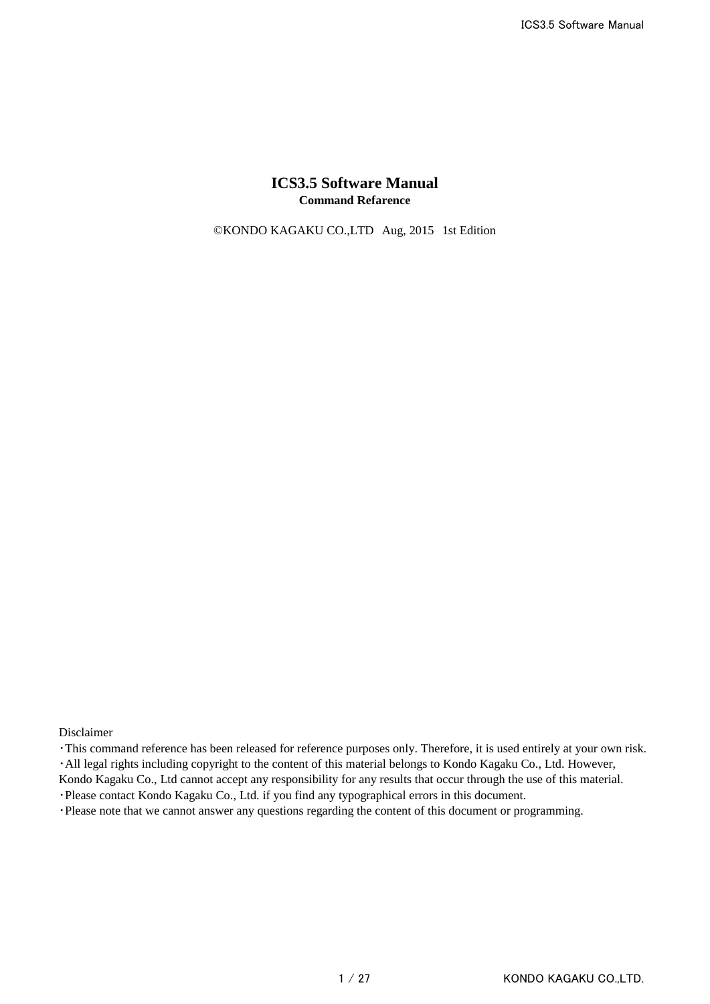## **ICS3.5 Software Manual Command Refarence**

©KONDO KAGAKU CO.,LTD Aug, 2015 1st Edition

Disclaimer

・This command reference has been released for reference purposes only. Therefore, it is used entirely at your own risk. ・All legal rights including copyright to the content of this material belongs to Kondo Kagaku Co., Ltd. However,

Kondo Kagaku Co., Ltd cannot accept any responsibility for any results that occur through the use of this material.

・Please contact Kondo Kagaku Co., Ltd. if you find any typographical errors in this document.

・Please note that we cannot answer any questions regarding the content of this document or programming.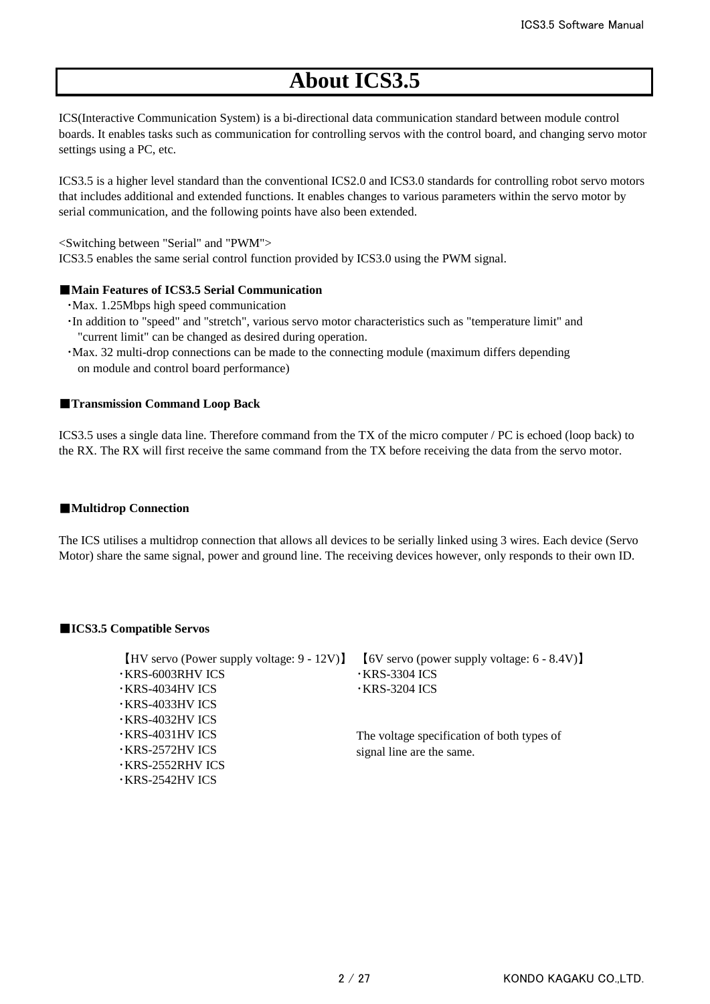# **About ICS3.5**

ICS(Interactive Communication System) is a bi-directional data communication standard between module control boards. It enables tasks such as communication for controlling servos with the control board, and changing servo motor settings using a PC, etc.

ICS3.5 is a higher level standard than the conventional ICS2.0 and ICS3.0 standards for controlling robot servo motors that includes additional and extended functions. It enables changes to various parameters within the servo motor by serial communication, and the following points have also been extended.

<Switching between "Serial" and "PWM">

ICS3.5 enables the same serial control function provided by ICS3.0 using the PWM signal.

#### ■**Main Features of ICS3.5 Serial Communication**

- ・Max. 1.25Mbps high speed communication
- ・In addition to "speed" and "stretch", various servo motor characteristics such as "temperature limit" and "current limit" can be changed as desired during operation.
- ・Max. 32 multi-drop connections can be made to the connecting module (maximum differs depending on module and control board performance)

#### ■**Transmission Command Loop Back**

ICS3.5 uses a single data line. Therefore command from the TX of the micro computer / PC is echoed (loop back) to the RX. The RX will first receive the same command from the TX before receiving the data from the servo motor.

#### ■**Multidrop Connection**

The ICS utilises a multidrop connection that allows all devices to be serially linked using 3 wires. Each device (Servo Motor) share the same signal, power and ground line. The receiving devices however, only responds to their own ID.

#### ■**ICS3.5 Compatible Servos**

| $[HV$ servo (Power supply voltage: 9 - 12V)] | $[6V \text{ servo (power supply voltage: } 6 - 8.4V)]$ |
|----------------------------------------------|--------------------------------------------------------|
| <b>· KRS-6003RHV ICS</b>                     | $\cdot$ KRS-3304 ICS                                   |
| $\cdot$ KRS-4034HV ICS                       | $\cdot$ KRS-3204 ICS                                   |
| $\cdot$ KRS-4033HV ICS                       |                                                        |
| $\cdot$ KRS-4032HV ICS                       |                                                        |
| $\cdot$ KRS-4031HV ICS                       | The voltage specification of both types of             |
| $\cdot$ KRS-2572HV ICS                       | signal line are the same.                              |
| <b>·KRS-2552RHV ICS</b>                      |                                                        |
| $\cdot$ KRS-2542HV ICS                       |                                                        |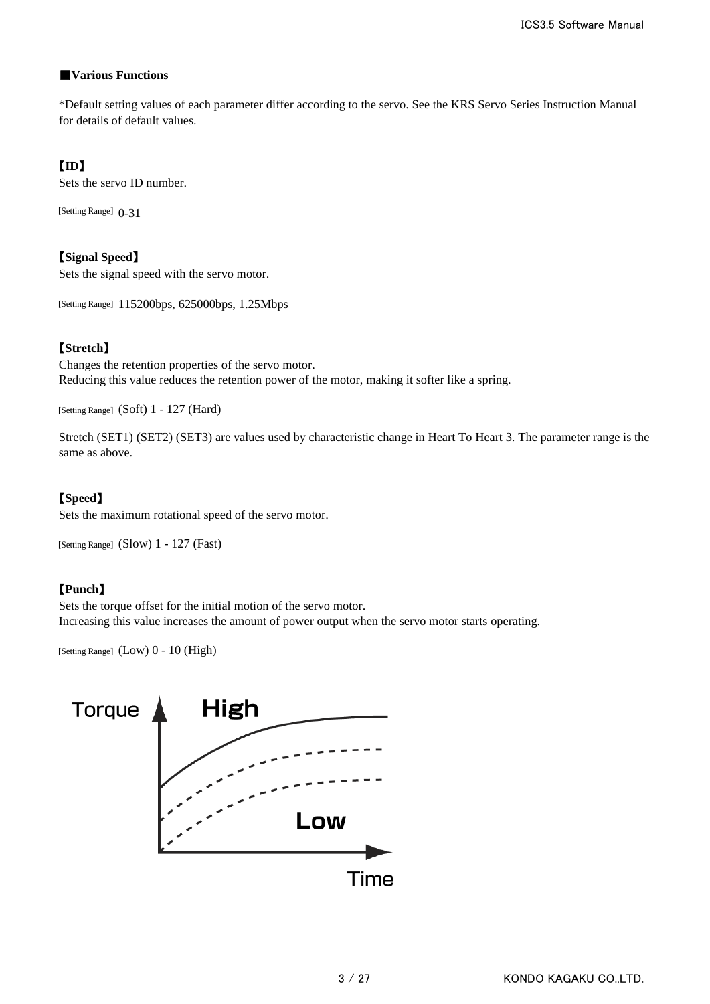## ■**Various Functions**

\*Default setting values of each parameter differ according to the servo. See the KRS Servo Series Instruction Manual for details of default values.

## 【**ID**】

Sets the servo ID number.

[Setting Range]  $0-31$ 

【**Signal Speed**】 Sets the signal speed with the servo motor.

[Setting Range] 115200bps, 625000bps, 1.25Mbps

# 【**Stretch**】

Changes the retention properties of the servo motor. Reducing this value reduces the retention power of the motor, making it softer like a spring.

[Setting Range] (Soft) 1 - 127 (Hard)

Stretch (SET1) (SET2) (SET3) are values used by characteristic change in Heart To Heart 3. The parameter range is the same as above.

# 【**Speed**】

Sets the maximum rotational speed of the servo motor.

[Setting Range] (Slow) 1 - 127 (Fast)

## 【**Punch**】

Sets the torque offset for the initial motion of the servo motor. Increasing this value increases the amount of power output when the servo motor starts operating.

[Setting Range] (Low) 0 - 10 (High)

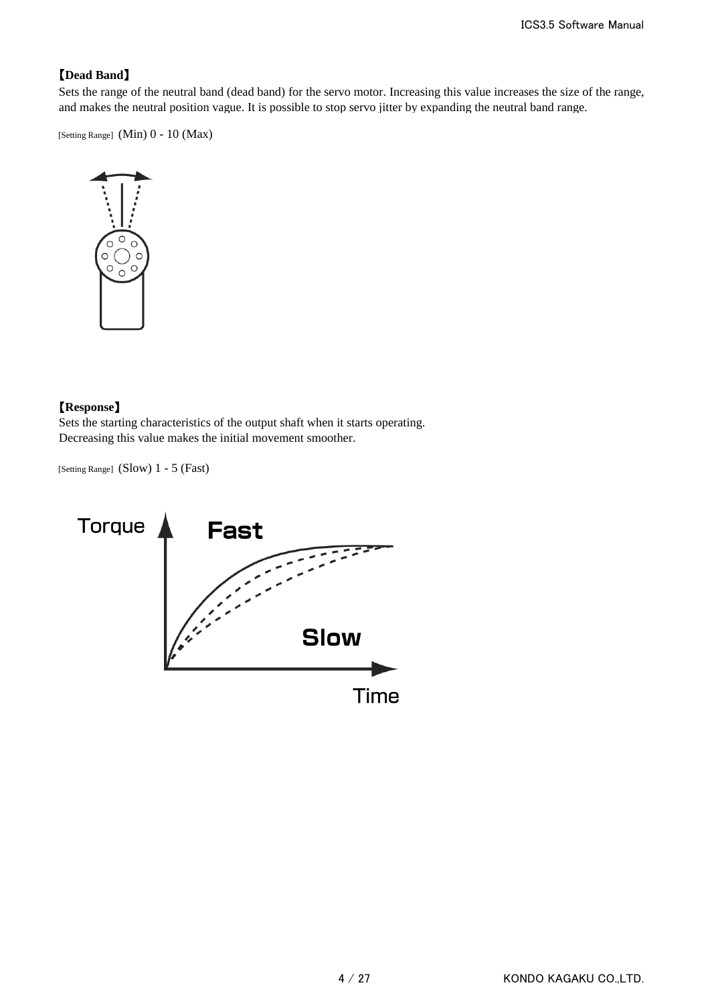## 【**Dead Band**】

Sets the range of the neutral band (dead band) for the servo motor. Increasing this value increases the size of the range, and makes the neutral position vague. It is possible to stop servo jitter by expanding the neutral band range.

[Setting Range] (Min) 0 - 10 (Max)



## 【**Response**】

Sets the starting characteristics of the output shaft when it starts operating. Decreasing this value makes the initial movement smoother.

[Setting Range] (Slow) 1 - 5 (Fast)

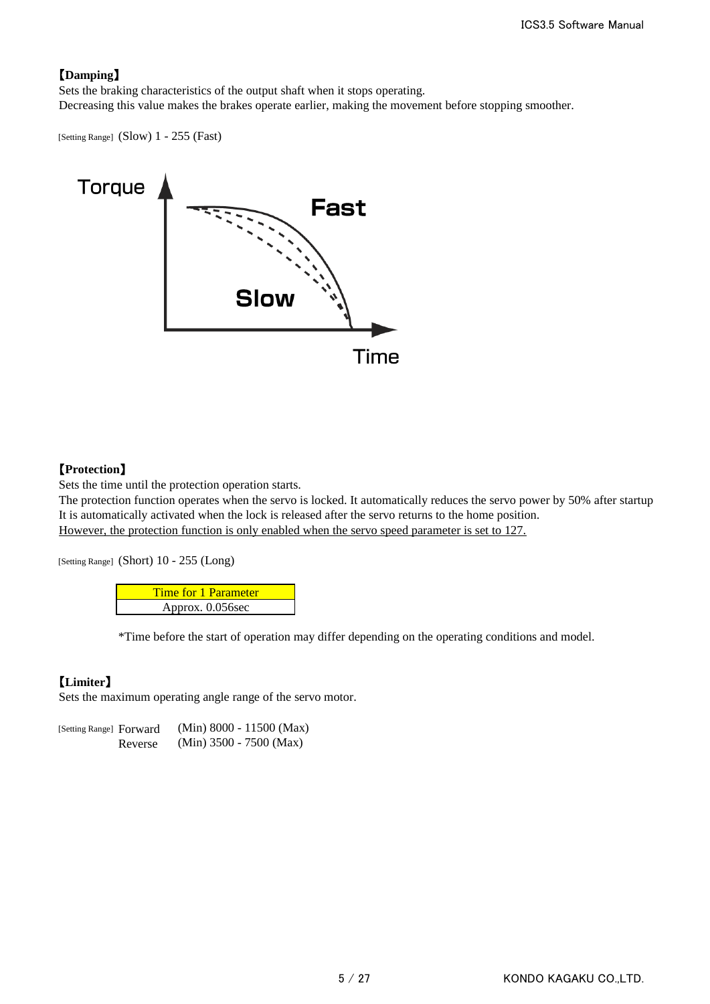# 【**Damping**】

Sets the braking characteristics of the output shaft when it stops operating. Decreasing this value makes the brakes operate earlier, making the movement before stopping smoother.

[Setting Range] (Slow) 1 - 255 (Fast)



## 【**Protection**】

Sets the time until the protection operation starts.

The protection function operates when the servo is locked. It automatically reduces the servo power by 50% after startup It is automatically activated when the lock is released after the servo returns to the home position. However, the protection function is only enabled when the servo speed parameter is set to 127.

[Setting Range] (Short) 10 - 255 (Long)

| <b>Time for 1 Parameter</b> |
|-----------------------------|
| Approx. 0.056sec            |

\*Time before the start of operation may differ depending on the operating conditions and model.

# 【**Limiter**】

Sets the maximum operating angle range of the servo motor.

[Setting Range] Forward (Min) 8000 - 11500 (Max) Reverse (Min) 3500 - 7500 (Max)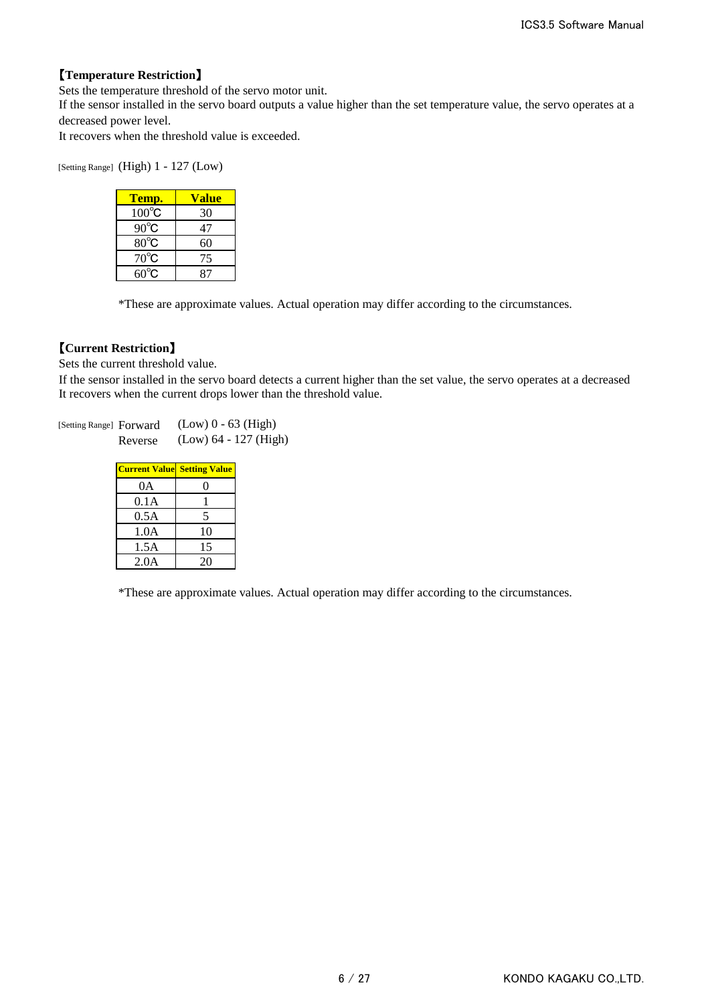## 【**Temperature Restriction**】

Sets the temperature threshold of the servo motor unit.

If the sensor installed in the servo board outputs a value higher than the set temperature value, the servo operates at a decreased power level.

It recovers when the threshold value is exceeded.

[Setting Range] (High) 1 - 127 (Low)

| Temp.           | Value |
|-----------------|-------|
| $100^{\circ}$ C | 30    |
| $90^{\circ}$ C  | 47    |
| $80^{\circ}$ C  | 60    |
| $70^{\circ}$ C  | 75    |
| $60^{\circ}$ C  | 87    |

\*These are approximate values. Actual operation may differ according to the circumstances.

## 【**Current Restriction**】

Sets the current threshold value.

It recovers when the current drops lower than the threshold value. If the sensor installed in the servo board detects a current higher than the set value, the servo operates at a decreased

[Setting Range] Forward (Low) 0 - 63 (High) Reverse (Low) 64 - 127 (High)

| <b>Current Value Setting Value</b> |    |
|------------------------------------|----|
| 0A                                 |    |
| 0.1A                               |    |
| 0.5A                               | 5  |
| 1.0A                               | 10 |
| 1.5A                               | 15 |
| 2.0A                               | 20 |

\*These are approximate values. Actual operation may differ according to the circumstances.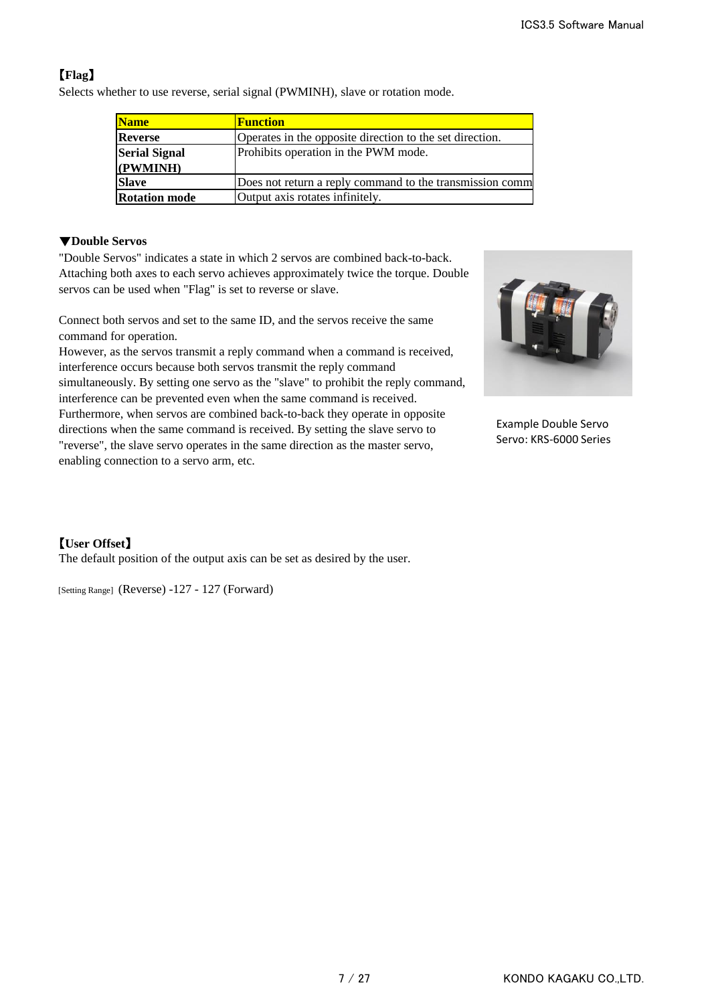# 【**Flag**】

Selects whether to use reverse, serial signal (PWMINH), slave or rotation mode.

| <b>Name</b>                      | <b>Function</b>                                          |
|----------------------------------|----------------------------------------------------------|
| <b>Reverse</b>                   | Operates in the opposite direction to the set direction. |
| <b>Serial Signal</b><br>(PWMINH) | Prohibits operation in the PWM mode.                     |
| <b>Slave</b>                     | Does not return a reply command to the transmission comm |
| <b>Rotation mode</b>             | Output axis rotates infinitely.                          |

## ▼**Double Servos**

"Double Servos" indicates a state in which 2 servos are combined back-to-back. Attaching both axes to each servo achieves approximately twice the torque. Double servos can be used when "Flag" is set to reverse or slave.

Connect both servos and set to the same ID, and the servos receive the same command for operation.

However, as the servos transmit a reply command when a command is received, interference occurs because both servos transmit the reply command simultaneously. By setting one servo as the "slave" to prohibit the reply command, interference can be prevented even when the same command is received. Furthermore, when servos are combined back-to-back they operate in opposite directions when the same command is received. By setting the slave servo to "reverse", the slave servo operates in the same direction as the master servo, enabling connection to a servo arm, etc.



Example Double Servo Servo: KRS-6000 Series

# 【**User Offset**】

The default position of the output axis can be set as desired by the user.

[Setting Range] (Reverse) -127 - 127 (Forward)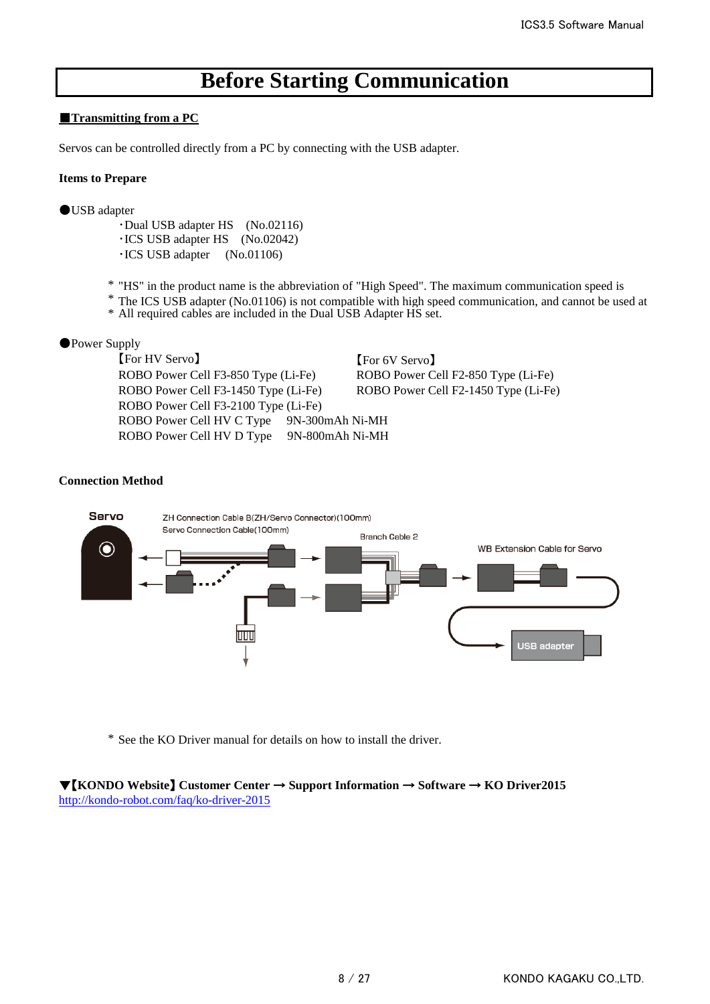# **Before Starting Communication**

### ■**Transmitting from a PC**

Servos can be controlled directly from a PC by connecting with the USB adapter.

#### **Items to Prepare**

●USB adapter

・Dual USB adapter HS (No.02116) ・ICS USB adapter HS (No.02042) ・ICS USB adapter (No.01106)

\* "HS" in the product name is the abbreviation of "High Speed". The maximum communication speed is

\* The ICS USB adapter (No.01106) is not compatible with high speed communication, and cannot be used at

\* All required cables are included in the Dual USB Adapter HS set.

### ●Power Supply

【For HV Servo】 【For 6V Servo】 ROBO Power Cell F3-850 Type (Li-Fe) ROBO Power Cell F2-850 Type (Li-Fe) ROBO Power Cell F3-1450 Type (Li-Fe) ROBO Power Cell F2-1450 Type (Li-Fe) ROBO Power Cell F3-2100 Type (Li-Fe) ROBO Power Cell HV C Type 9N-300mAh Ni-MH ROBO Power Cell HV D Type 9N-800mAh Ni-MH

### **Connection Method**



\* See the KO Driver manual for details on how to install the driver.

### ▼【**KONDO Website**】 **Customer Center** → **Support Information** → **Software** → **KO Driver2015** <http://kondo-robot.com/faq/ko-driver-2015>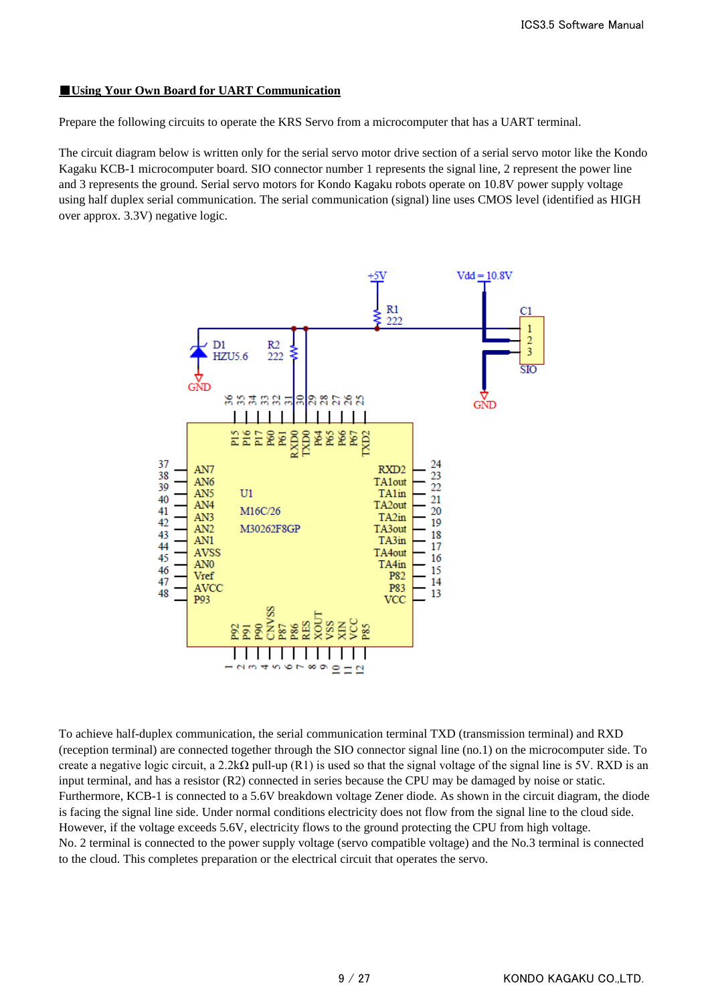## ■**Using Your Own Board for UART Communication**

Prepare the following circuits to operate the KRS Servo from a microcomputer that has a UART terminal.

The circuit diagram below is written only for the serial servo motor drive section of a serial servo motor like the Kondo Kagaku KCB-1 microcomputer board. SIO connector number 1 represents the signal line, 2 represent the power line and 3 represents the ground. Serial servo motors for Kondo Kagaku robots operate on 10.8V power supply voltage using half duplex serial communication. The serial communication (signal) line uses CMOS level (identified as HIGH over approx. 3.3V) negative logic.



To achieve half-duplex communication, the serial communication terminal TXD (transmission terminal) and RXD (reception terminal) are connected together through the SIO connector signal line (no.1) on the microcomputer side. To create a negative logic circuit, a 2.2k $\Omega$  pull-up (R1) is used so that the signal voltage of the signal line is 5V. RXD is an input terminal, and has a resistor (R2) connected in series because the CPU may be damaged by noise or static. Furthermore, KCB-1 is connected to a 5.6V breakdown voltage Zener diode. As shown in the circuit diagram, the diode is facing the signal line side. Under normal conditions electricity does not flow from the signal line to the cloud side. However, if the voltage exceeds 5.6V, electricity flows to the ground protecting the CPU from high voltage. No. 2 terminal is connected to the power supply voltage (servo compatible voltage) and the No.3 terminal is connected to the cloud. This completes preparation or the electrical circuit that operates the servo.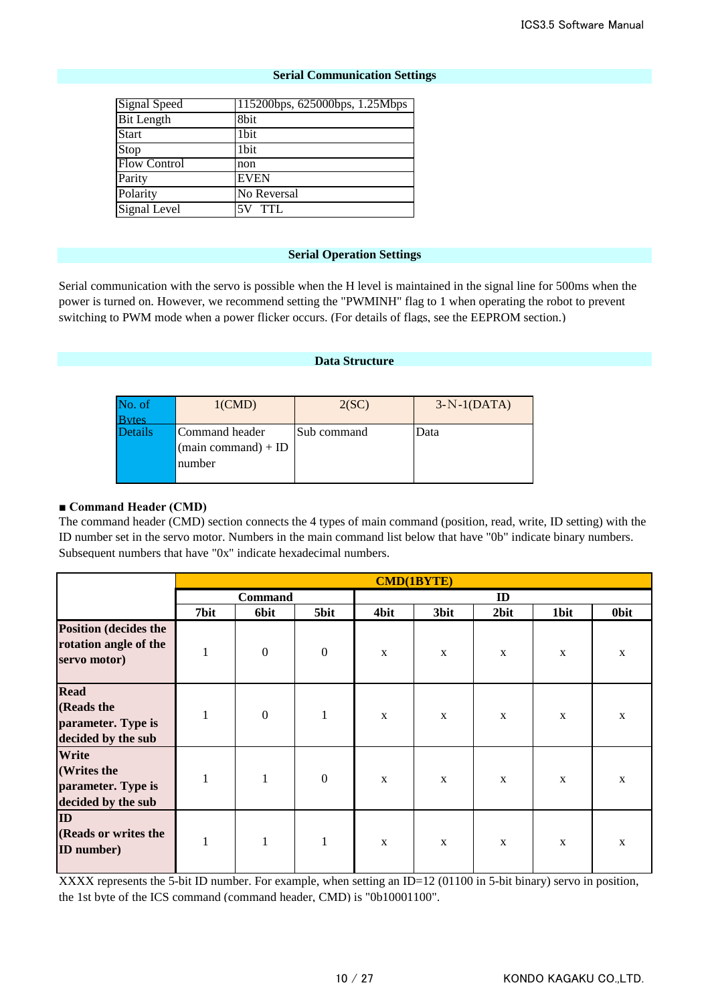### **Serial Communication Settings**

| <b>Signal Speed</b> | 115200bps, 625000bps, 1.25Mbps |
|---------------------|--------------------------------|
| <b>Bit Length</b>   | 8bit                           |
| <b>Start</b>        | 1bit                           |
| Stop                | 1bit                           |
| <b>Flow Control</b> | non                            |
| Parity              | <b>EVEN</b>                    |
| Polarity            | No Reversal                    |
| Signal Level        | 5V TTL                         |

#### **Serial Operation Settings**

Serial communication with the servo is possible when the H level is maintained in the signal line for 500ms when the power is turned on. However, we recommend setting the "PWMINH" flag to 1 when operating the robot to prevent switching to PWM mode when a power flicker occurs. (For details of flags, see the EEPROM section.)

#### **Data Structure**

| No. of         | $1$ (CMD)                                                       | 2(SC)       | $3-N-1(DATA)$ |
|----------------|-----------------------------------------------------------------|-------------|---------------|
| <b>Bytes</b>   |                                                                 |             |               |
| <b>Details</b> | Command header<br>$(\text{main command}) + \text{ID}$<br>number | Sub command | Data          |

#### **■ Command Header (CMD)**

The command header (CMD) section connects the 4 types of main command (position, read, write, ID setting) with the ID number set in the servo motor. Numbers in the main command list below that have "0b" indicate binary numbers. Subsequent numbers that have "0x" indicate hexadecimal numbers.

|                                                                       | <b>CMD(1BYTE)</b> |                  |                  |             |             |             |             |              |
|-----------------------------------------------------------------------|-------------------|------------------|------------------|-------------|-------------|-------------|-------------|--------------|
|                                                                       | <b>Command</b>    |                  |                  | ID          |             |             |             |              |
|                                                                       | 7bit              | <b>6bit</b>      | 5bit             | 4bit        | 3bit        | 2bit        | 1bit        | <b>Obit</b>  |
| <b>Position (decides the</b><br>rotation angle of the<br>servo motor) | $\mathbf{1}$      | $\boldsymbol{0}$ | $\boldsymbol{0}$ | $\mathbf X$ | $\mathbf X$ | $\mathbf X$ | $\mathbf X$ | $\mathbf{X}$ |
| <b>Read</b><br>(Reads the<br>parameter. Type is<br>decided by the sub | $\mathbf{1}$      | $\boldsymbol{0}$ | $\mathbf{1}$     | $\mathbf X$ | $\mathbf X$ | $\mathbf X$ | X           | $\mathbf{X}$ |
| Write<br>(Writes the<br>parameter. Type is<br>decided by the sub      | $\mathbf{1}$      | $\mathbf{1}$     | $\boldsymbol{0}$ | $\mathbf X$ | $\mathbf X$ | $\mathbf X$ | $\mathbf X$ | $\mathbf X$  |
| ID<br>(Reads or writes the<br><b>ID</b> number)                       | $\mathbf{1}$      | $\mathbf{1}$     | $\mathbf{1}$     | $\mathbf X$ | $\mathbf X$ | $\mathbf X$ | $\mathbf X$ | $\mathbf{X}$ |

XXXX represents the 5-bit ID number. For example, when setting an ID=12 (01100 in 5-bit binary) servo in position, the 1st byte of the ICS command (command header, CMD) is "0b10001100".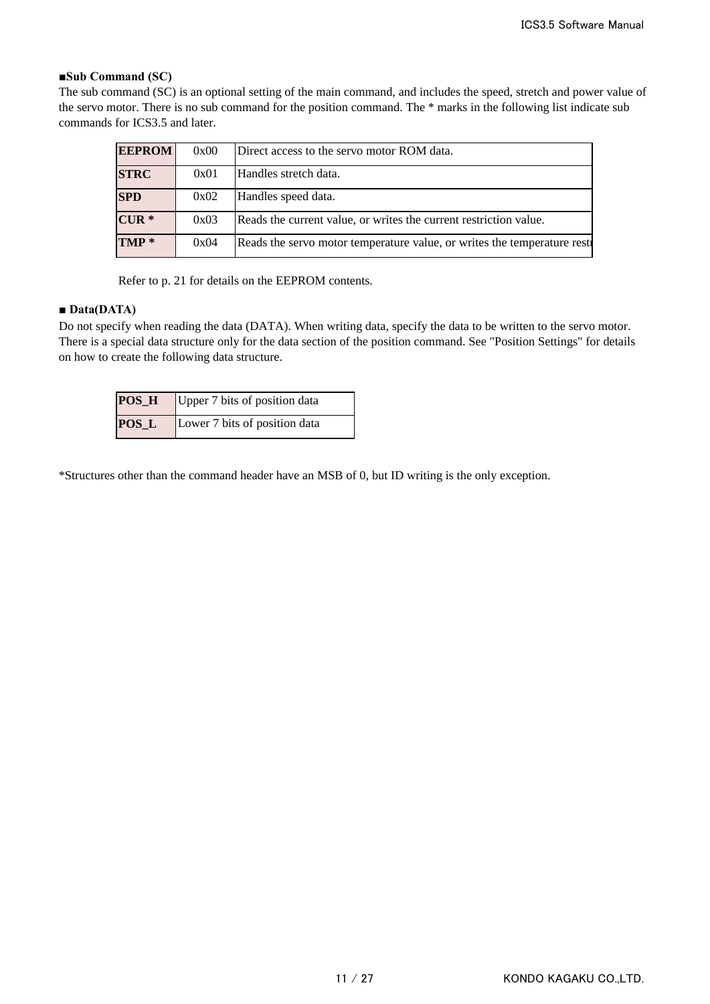## **■Sub Command (SC)**

The sub command (SC) is an optional setting of the main command, and includes the speed, stretch and power value of the servo motor. There is no sub command for the position command. The \* marks in the following list indicate sub commands for ICS3.5 and later.

| <b>EEPROM</b>    | 0x00 | Direct access to the servo motor ROM data.                                |
|------------------|------|---------------------------------------------------------------------------|
| <b>STRC</b>      | 0x01 | Handles stretch data.                                                     |
| <b>SPD</b>       | 0x02 | Handles speed data.                                                       |
| $CUR *$          | 0x03 | Reads the current value, or writes the current restriction value.         |
| TMP <sup>*</sup> | 0x04 | Reads the servo motor temperature value, or writes the temperature restri |

Refer to p. 21 for details on the EEPROM contents.

## **■ Data(DATA)**

Do not specify when reading the data (DATA). When writing data, specify the data to be written to the servo motor. There is a special data structure only for the data section of the position command. See "Position Settings" for details on how to create the following data structure.

|       | <b>POS_H</b> Upper 7 bits of position data |
|-------|--------------------------------------------|
| POS_L | Lower 7 bits of position data              |

\*Structures other than the command header have an MSB of 0, but ID writing is the only exception.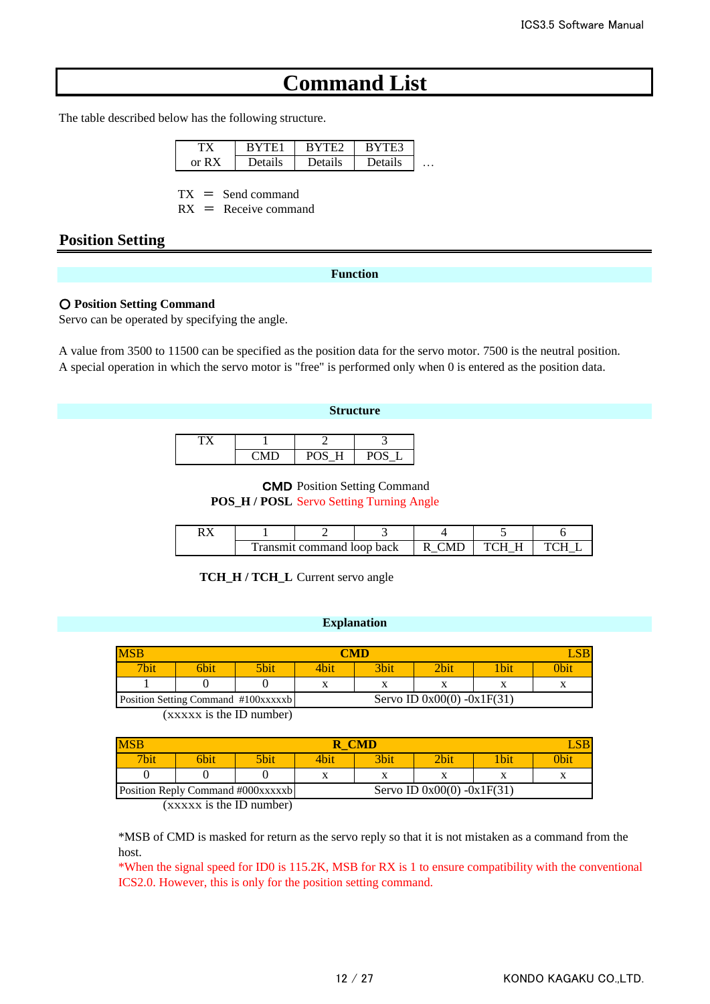# **Command List**

The table described below has the following structure.

|            |    | - |   |
|------------|----|---|---|
| $\alpha r$ | ıс |   | . |

 $TX =$  Send command

 $RX =$  Receive command

## **Position Setting**

## **Function**

### ○ **Position Setting Command**

Servo can be operated by specifying the angle.

A value from 3500 to 11500 can be specified as the position data for the servo motor. 7500 is the neutral position. A special operation in which the servo motor is "free" is performed only when 0 is entered as the position data.

### **Structure**

| $- - -$ | -   |   |  |
|---------|-----|---|--|
|         | r 1 | ້ |  |

CMD Position Setting Command **POS\_H / POSL** Servo Setting Turning Angle

|  | 'ransmit command loop back | N/I |  |
|--|----------------------------|-----|--|

**TCH\_H / TCH\_L** Current servo angle

#### **Explanation**

| <b>MSB</b> | <b>CMD</b> |                                     |      |                              |      |     |     |  |  |  |
|------------|------------|-------------------------------------|------|------------------------------|------|-----|-----|--|--|--|
| 7bit       | 6bit       | 5bit                                | 4bit | 3bit                         | 2bit | bit | )bi |  |  |  |
|            |            |                                     |      |                              |      |     |     |  |  |  |
|            |            | Position Setting Command #100xxxxxb |      | Servo ID $0x00(0) -0x1F(31)$ |      |     |     |  |  |  |

(xxxxx is the ID number)

| <b>MSB</b>                        | <b>CMD</b>  |      |                              |      |      |       |      |  |  |
|-----------------------------------|-------------|------|------------------------------|------|------|-------|------|--|--|
| <b>7bit</b>                       | <b>Sbit</b> | 5bit | 4bit                         | 3bit | 2bit | 1 bit | 0bit |  |  |
|                                   |             |      |                              |      |      |       |      |  |  |
| Position Reply Command #000xxxxxb |             |      | Servo ID $0x00(0) -0x1F(31)$ |      |      |       |      |  |  |

(xxxxx is the ID number)

\*MSB of CMD is masked for return as the servo reply so that it is not mistaken as a command from the host.

\*When the signal speed for ID0 is 115.2K, MSB for RX is 1 to ensure compatibility with the conventional ICS2.0. However, this is only for the position setting command.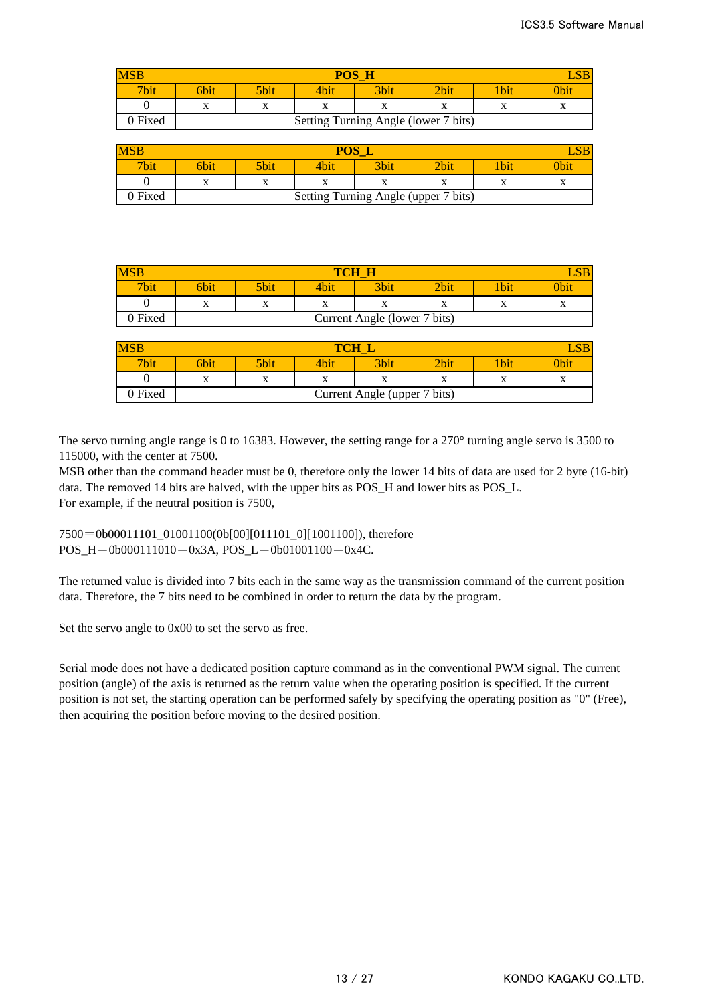| <b>MSB</b> | POS<br>$\_SB$<br>H |                                      |           |      |           |            |           |  |  |
|------------|--------------------|--------------------------------------|-----------|------|-----------|------------|-----------|--|--|
| 7bit       | 6bit               | 5bit                                 | 4bit      | 3bit | 2bit      | <b>bit</b> | 0bit      |  |  |
|            | <b>xr</b><br>A     | $\Lambda$                            | $\Lambda$ | л    | $\Lambda$ | $\Lambda$  | $\Lambda$ |  |  |
| 0 Fixed    |                    | Setting Turning Angle (lower 7 bits) |           |      |           |            |           |  |  |

| <b>MSB</b> | POS<br>S <sub>B</sub> |                                      |           |             |           |              |           |  |  |  |
|------------|-----------------------|--------------------------------------|-----------|-------------|-----------|--------------|-----------|--|--|--|
| 7bit       | 6bit                  | 5bit                                 | 4bit      | <b>3bit</b> | 2bit      | <b>U</b> bit | 0bit      |  |  |  |
|            | $\mathbf{v}$<br>л     |                                      | $\Lambda$ | x           | $\Lambda$ | △            | $\Lambda$ |  |  |  |
| ) Fixed    |                       | Setting Turning Angle (upper 7 bits) |           |             |           |              |           |  |  |  |

| <b>MSB</b>  | TCH         |                                                                                           |  |      |      |             |             |  |  |
|-------------|-------------|-------------------------------------------------------------------------------------------|--|------|------|-------------|-------------|--|--|
| <b>7bit</b> | <b>Sbit</b> | 5bit                                                                                      |  | 3bit | 2bit | <b>'bit</b> | <b>Obit</b> |  |  |
|             | $\Lambda$   | v<br>v<br>$\Lambda$<br>$\Lambda$<br>$\Lambda$<br>$\Lambda$<br>$\overline{ }$<br>$\lambda$ |  |      |      |             |             |  |  |
| 0 Fixed     |             | Current Angle (lower 7 bits)                                                              |  |      |      |             |             |  |  |

| <b>MSB</b> | <b>TCH</b><br>LSB            |                                                                                           |      |      |      |             |      |  |  |  |
|------------|------------------------------|-------------------------------------------------------------------------------------------|------|------|------|-------------|------|--|--|--|
| 7bit       | 6bit                         | 5bit                                                                                      | 4bit | 3bit | 2bit | <b>Vbit</b> | Obit |  |  |  |
|            | $\mathbf{v}$<br>л            | $\mathbf{v}$<br>v<br>$\mathbf{v}$<br>л<br>$\Delta$<br>$\Lambda$<br>$\Lambda$<br>$\Lambda$ |      |      |      |             |      |  |  |  |
| 0 Fixed    | Current Angle (upper 7 bits) |                                                                                           |      |      |      |             |      |  |  |  |

The servo turning angle range is 0 to 16383. However, the setting range for a 270° turning angle servo is 3500 to 115000, with the center at 7500.

MSB other than the command header must be 0, therefore only the lower 14 bits of data are used for 2 byte (16-bit) data. The removed 14 bits are halved, with the upper bits as POS\_H and lower bits as POS\_L. For example, if the neutral position is 7500,

7500=0b00011101\_01001100(0b[00][011101\_0][1001100]), therefore POS\_H=0b000111010=0x3A, POS\_L=0b01001100=0x4C.

The returned value is divided into 7 bits each in the same way as the transmission command of the current position data. Therefore, the 7 bits need to be combined in order to return the data by the program.

Set the servo angle to 0x00 to set the servo as free.

Serial mode does not have a dedicated position capture command as in the conventional PWM signal. The current position (angle) of the axis is returned as the return value when the operating position is specified. If the current position is not set, the starting operation can be performed safely by specifying the operating position as "0" (Free), then acquiring the position before moving to the desired position.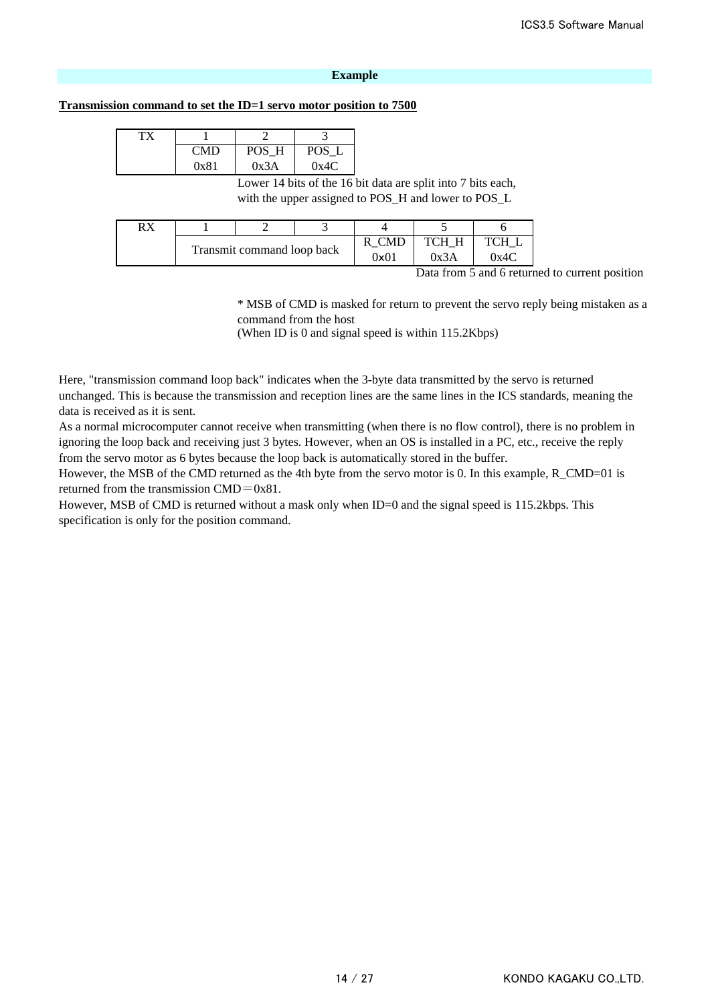#### **Example**

#### **Transmission command to set the ID=1 servo motor position to 7500**

| гх |      |       |       |  |
|----|------|-------|-------|--|
|    | CMD  | POS H | POS L |  |
|    | 0x81 | 0x3A  | 0x4C  |  |

Lower 14 bits of the 16 bit data are split into 7 bits each, with the upper assigned to POS\_H and lower to POS\_L

| DV |                            |  |  |                 |                 |      |
|----|----------------------------|--|--|-----------------|-----------------|------|
|    |                            |  |  |                 | <b>TCH</b><br>H | TCH  |
|    | Transmit command loop back |  |  | $9\mathsf{x}01$ | 0x3A            | 0x4C |

Data from 5 and 6 returned to current position

\* MSB of CMD is masked for return to prevent the servo reply being mistaken as a command from the host

(When ID is 0 and signal speed is within 115.2Kbps)

Here, "transmission command loop back" indicates when the 3-byte data transmitted by the servo is returned unchanged. This is because the transmission and reception lines are the same lines in the ICS standards, meaning the data is received as it is sent.

As a normal microcomputer cannot receive when transmitting (when there is no flow control), there is no problem in ignoring the loop back and receiving just 3 bytes. However, when an OS is installed in a PC, etc., receive the reply from the servo motor as 6 bytes because the loop back is automatically stored in the buffer.

However, the MSB of the CMD returned as the 4th byte from the servo motor is 0. In this example, R\_CMD=01 is returned from the transmission CMD=0x81.

However, MSB of CMD is returned without a mask only when ID=0 and the signal speed is 115.2kbps. This specification is only for the position command.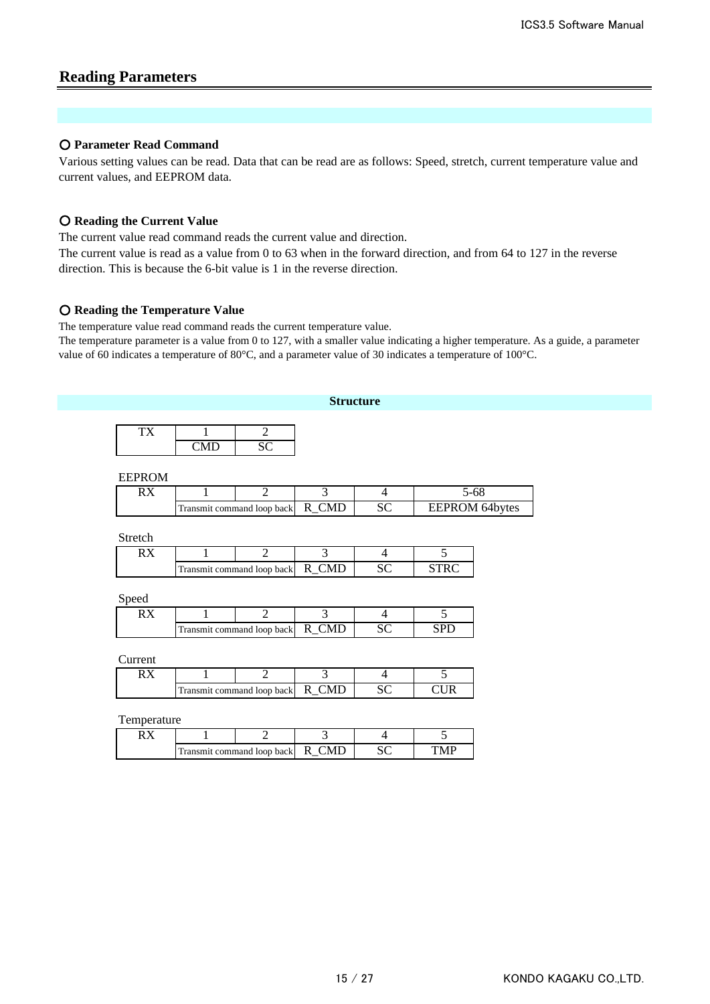# **Reading Parameters**

## ○ **Parameter Read Command**

Various setting values can be read. Data that can be read are as follows: Speed, stretch, current temperature value and current values, and EEPROM data.

## ○ **Reading the Current Value**

The current value read command reads the current value and direction.

The current value is read as a value from 0 to 63 when in the forward direction, and from 64 to 127 in the reverse direction. This is because the 6-bit value is 1 in the reverse direction.

## ○ **Reading the Temperature Value**

The temperature value read command reads the current temperature value.

The temperature parameter is a value from 0 to 127, with a smaller value indicating a higher temperature. As a guide, a parameter value of 60 indicates a temperature of 80°C, and a parameter value of 30 indicates a temperature of 100°C.

| <b>Structure</b> |                                         |                                   |                        |                 |                       |  |  |  |  |
|------------------|-----------------------------------------|-----------------------------------|------------------------|-----------------|-----------------------|--|--|--|--|
| <b>TX</b>        | $\mathbf{1}$<br>$\overline{\text{CMD}}$ | $\overline{2}$<br>$\overline{SC}$ |                        |                 |                       |  |  |  |  |
| <b>EEPROM</b>    |                                         |                                   |                        |                 |                       |  |  |  |  |
| RX               | 1                                       | $\mathbf{2}$                      | 3                      | $\overline{4}$  | $5 - 68$              |  |  |  |  |
|                  |                                         | Transmit command loop back        | $R$ <sub>_CMD</sub>    | $\overline{SC}$ | <b>EEPROM 64bytes</b> |  |  |  |  |
| Stretch          |                                         |                                   |                        |                 |                       |  |  |  |  |
|                  |                                         | $\overline{2}$                    | $\overline{3}$         | $\overline{4}$  | 5                     |  |  |  |  |
| $\overline{RX}$  | 1                                       |                                   |                        |                 |                       |  |  |  |  |
|                  |                                         | Transmit command loop back        | R_CMD                  | $\overline{SC}$ | <b>STRC</b>           |  |  |  |  |
| Speed            |                                         |                                   |                        |                 |                       |  |  |  |  |
| RX               | 1                                       | $\overline{2}$                    | $\overline{3}$         | $\overline{4}$  | 5                     |  |  |  |  |
|                  |                                         | Transmit command loop back        | R_CMD                  | SC              | <b>SPD</b>            |  |  |  |  |
| Current          |                                         |                                   |                        |                 |                       |  |  |  |  |
| RX               | 1                                       | $\overline{2}$                    | $\overline{3}$         | $\overline{4}$  | 5                     |  |  |  |  |
|                  |                                         | Transmit command loop back        | $R$ <sub>_</sub> $CMD$ | $\overline{SC}$ | <b>CUR</b>            |  |  |  |  |
| Temperature      |                                         |                                   |                        |                 |                       |  |  |  |  |
| RX               | 1                                       | $\overline{2}$                    | $\overline{3}$         | $\overline{4}$  | $\overline{5}$        |  |  |  |  |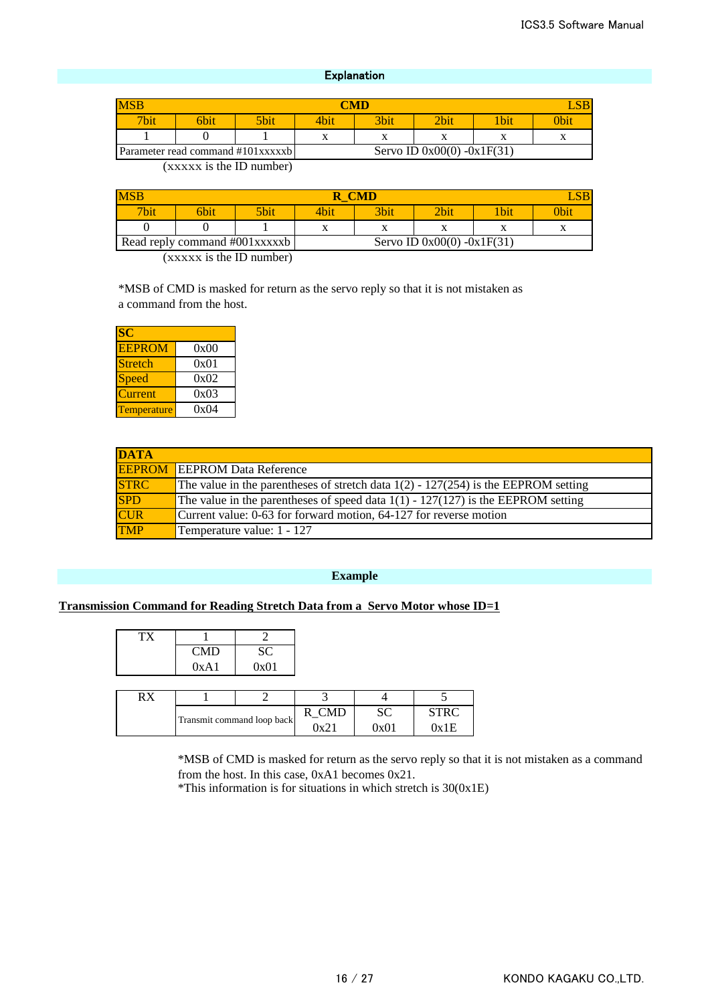## **Explanation**

| <b>MSB</b> | <b>CMD</b>                                                        |      |      |      |             |     |      |  |
|------------|-------------------------------------------------------------------|------|------|------|-------------|-----|------|--|
| 7bit.      | 6bit                                                              | 5bit | 4hit | 3bit | <b>Phit</b> | bit | )bii |  |
|            |                                                                   |      |      | л    |             |     |      |  |
|            | Servo ID $0x00(0) -0x1F(31)$<br>Parameter read command #101xxxxxb |      |      |      |             |     |      |  |

(xxxxx is the ID number)

| <b>MSB</b>                    | <b>CMD</b> |             |      |                              |      |      |              |  |  |
|-------------------------------|------------|-------------|------|------------------------------|------|------|--------------|--|--|
| <b>7bit</b>                   | 6bit       | <b>Sbit</b> | 4bit | 3bit                         | 2bit | 1bit | 0bit         |  |  |
|                               |            |             |      | v<br>л                       |      |      | $\mathbf{v}$ |  |  |
| Read reply command #001xxxxxb |            |             |      | Servo ID $0x00(0) -0x1F(31)$ |      |      |              |  |  |

(xxxxx is the ID number)

\*MSB of CMD is masked for return as the servo reply so that it is not mistaken as a command from the host.

| SC                 |      |
|--------------------|------|
| <b>EEPROM</b>      | 0x00 |
| <b>Stretch</b>     | 0x01 |
| Speed              | 0x02 |
| Current            | 0x03 |
| <b>Temperature</b> | 0x04 |

| <b>DATA</b> |                                                                                        |
|-------------|----------------------------------------------------------------------------------------|
|             | <b>EEPROM</b> EEPROM Data Reference                                                    |
| <b>STRC</b> | The value in the parentheses of stretch data $1(2)$ - $127(254)$ is the EEPROM setting |
| <b>SPD</b>  | The value in the parentheses of speed data $1(1)$ - 127(127) is the EEPROM setting     |
| <b>CUR</b>  | Current value: 0-63 for forward motion, 64-127 for reverse motion                      |
| <b>TMP</b>  | Temperature value: 1 - 127                                                             |

#### **Example**

## **Transmission Command for Reading Stretch Data from a Servo Motor whose ID=1**

| CMD  | SC   |
|------|------|
| 0xA1 | 0x01 |

| DV |                            |  |               |      |        |
|----|----------------------------|--|---------------|------|--------|
|    |                            |  |               |      |        |
|    | Transmit command loop back |  | $Hv^{\gamma}$ | Դ⊽∩ւ | ጉv 1 E |

\*MSB of CMD is masked for return as the servo reply so that it is not mistaken as a command from the host. In this case, 0xA1 becomes 0x21.

\*This information is for situations in which stretch is 30(0x1E)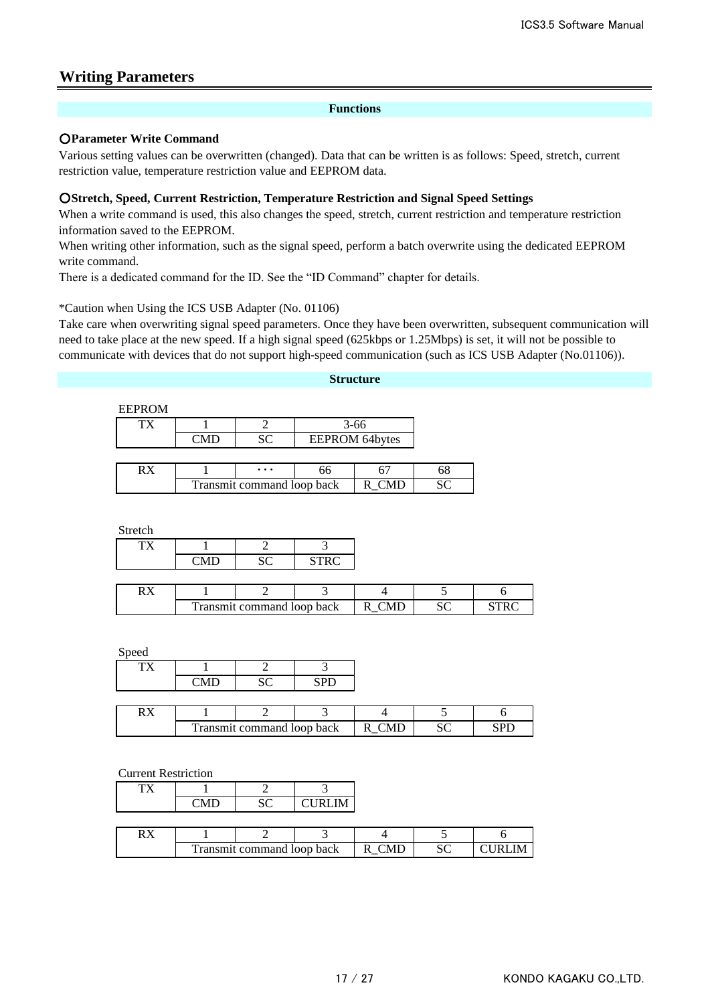# **Writing Parameters**

## **Functions**

## ○**Parameter Write Command**

Various setting values can be overwritten (changed). Data that can be written is as follows: Speed, stretch, current restriction value, temperature restriction value and EEPROM data.

## ○**Stretch, Speed, Current Restriction, Temperature Restriction and Signal Speed Settings**

When a write command is used, this also changes the speed, stretch, current restriction and temperature restriction information saved to the EEPROM.

When writing other information, such as the signal speed, perform a batch overwrite using the dedicated EEPROM write command.

There is a dedicated command for the ID. See the "ID Command" chapter for details.

\*Caution when Using the ICS USB Adapter (No. 01106)

Take care when overwriting signal speed parameters. Once they have been overwritten, subsequent communication will need to take place at the new speed. If a high signal speed (625kbps or 1.25Mbps) is set, it will not be possible to communicate with devices that do not support high-speed communication (such as ICS USB Adapter (No.01106)).

#### **Structure**

#### EEPROM

|    |                            |           | $3 - 66$              |  |  |
|----|----------------------------|-----------|-----------------------|--|--|
|    | $^{\circ}$ MD              |           | <b>EEPROM 64bytes</b> |  |  |
|    |                            |           |                       |  |  |
| RX |                            | $\ddotsc$ | ჩჩ                    |  |  |
|    | Transmit command loop back |           |                       |  |  |

Stretch

| -- -<br>– |  |       |  |
|-----------|--|-------|--|
|           |  | ----- |  |

|  | ransmit command loop back |  | ື |  |
|--|---------------------------|--|---|--|

Speed

|  |                            | SPD |  |  |
|--|----------------------------|-----|--|--|
|  |                            |     |  |  |
|  |                            |     |  |  |
|  | Transmit command loop back |     |  |  |

#### Current Restriction

|                            | $\sim$ | CURLIM- |       |              |        |
|----------------------------|--------|---------|-------|--------------|--------|
|                            |        |         |       |              |        |
|                            |        |         |       |              |        |
| Transmit command loop back |        |         | R CMD | $\mathbf{C}$ | CURLIM |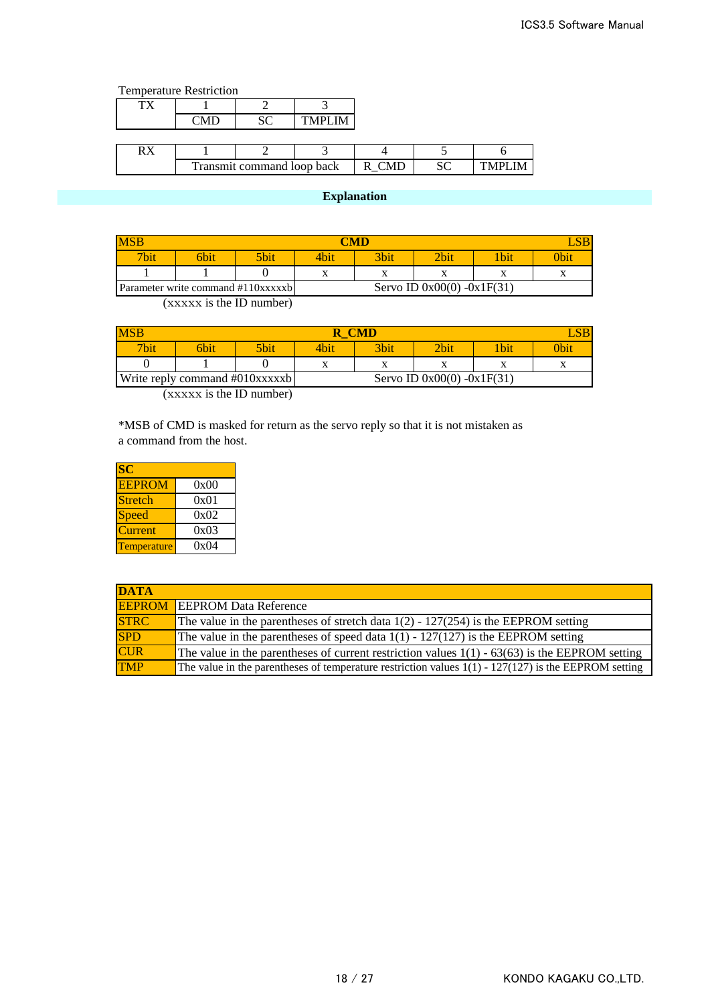|    | <b>Temperature Restriction</b> |  |                |            |               |                |
|----|--------------------------------|--|----------------|------------|---------------|----------------|
| ТX |                                |  |                |            |               |                |
|    | `MD                            |  | <b>TMPI IM</b> |            |               |                |
|    |                                |  |                |            |               |                |
| RX |                                |  |                |            |               |                |
|    | Transmit command loop back     |  |                | <b>CMD</b> | $\mathcal{C}$ | <b>TMPI IM</b> |

# **Explanation**

|                  | CMD  |                                    |                           |                           |                              |             |           |
|------------------|------|------------------------------------|---------------------------|---------------------------|------------------------------|-------------|-----------|
| 7 <sub>bin</sub> | 6bit | 5bit                               | 4bit                      | 3bit                      | $2\text{bit}$                | <b>1bit</b> | )bit      |
|                  |      |                                    | $\mathbf{v}$<br>$\Lambda$ | $\mathbf{v}$<br>$\Lambda$ |                              | $\Lambda$   | $\Lambda$ |
|                  |      | Parameter write command #110xxxxxb |                           |                           | Servo ID $0x00(0) -0x1F(31)$ |             |           |

(xxxxx is the ID number)

| <b>MSB</b> | - CMD                          |      |                              |      |       |             |             |
|------------|--------------------------------|------|------------------------------|------|-------|-------------|-------------|
| 7bit       | <b>Shit</b>                    | 5bit | 4bit                         | 3bit | 2bit. | <b>Ibit</b> | <b>Obit</b> |
|            |                                |      |                              | v    |       |             |             |
|            | Write reply command #010xxxxxb |      | Servo ID $0x00(0) -0x1F(31)$ |      |       |             |             |

(xxxxx is the ID number)

\*MSB of CMD is masked for return as the servo reply so that it is not mistaken as a command from the host.

| <b>SC</b>      |      |
|----------------|------|
| <b>EEPROM</b>  | 0x00 |
| <b>Stretch</b> | 0x01 |
| Speed          | 0x02 |
| Current        | 0x03 |
| Temperature    | 0x04 |

| <b>DATA</b> |                                                                                                        |
|-------------|--------------------------------------------------------------------------------------------------------|
|             | <b>EEPROM</b> EEPROM Data Reference                                                                    |
| <b>STRC</b> | The value in the parentheses of stretch data $1(2)$ - $127(254)$ is the EEPROM setting                 |
| <b>SPD</b>  | The value in the parentheses of speed data $1(1) - 127(127)$ is the EEPROM setting                     |
| <b>CUR</b>  | The value in the parentheses of current restriction values $1(1) - 63(63)$ is the EEPROM setting       |
| <b>TMP</b>  | The value in the parentheses of temperature restriction values $1(1) - 127(127)$ is the EEPROM setting |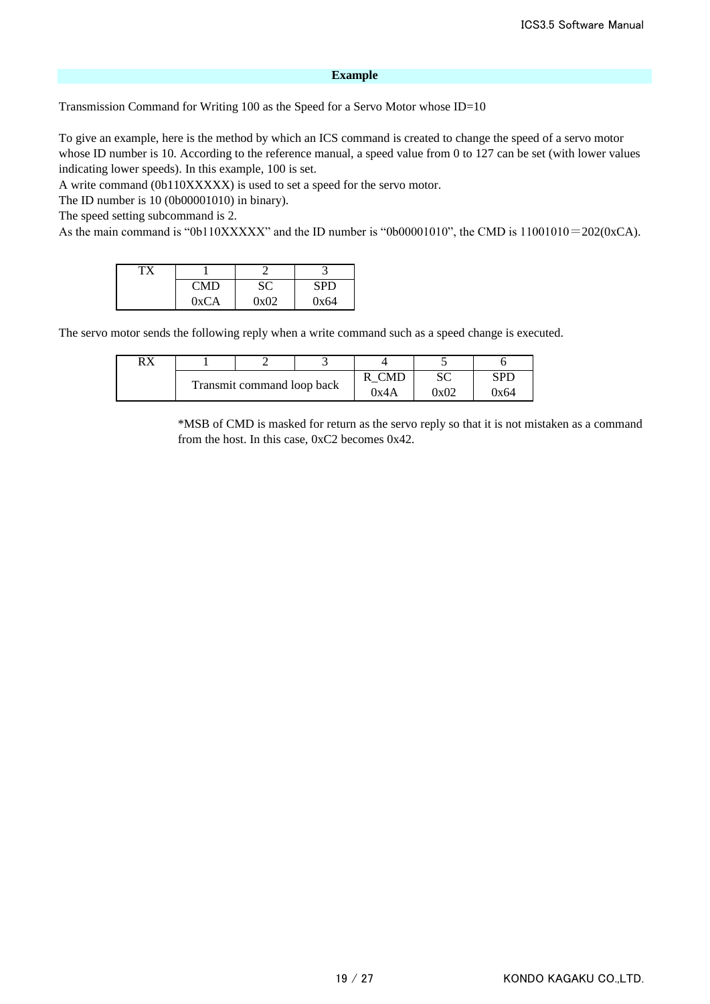#### **Example**

Transmission Command for Writing 100 as the Speed for a Servo Motor whose ID=10

To give an example, here is the method by which an ICS command is created to change the speed of a servo motor whose ID number is 10. According to the reference manual, a speed value from 0 to 127 can be set (with lower values indicating lower speeds). In this example, 100 is set.

A write command (0b110XXXXX) is used to set a speed for the servo motor.

The ID number is 10 (0b00001010) in binary).

The speed setting subcommand is 2.

As the main command is "0b110XXXXX" and the ID number is "0b00001010", the CMD is 11001010=202(0xCA).

| <b>CMD</b> |      | SPD  |
|------------|------|------|
| 0xCA       | በ×በን | 0x64 |

The servo motor sends the following reply when a write command such as a speed change is executed.

| рv |                            |  |  |      |      |
|----|----------------------------|--|--|------|------|
|    |                            |  |  | ື    | SPL  |
|    | Transmit command loop back |  |  | 0x02 | 7х64 |

\*MSB of CMD is masked for return as the servo reply so that it is not mistaken as a command from the host. In this case, 0xC2 becomes 0x42.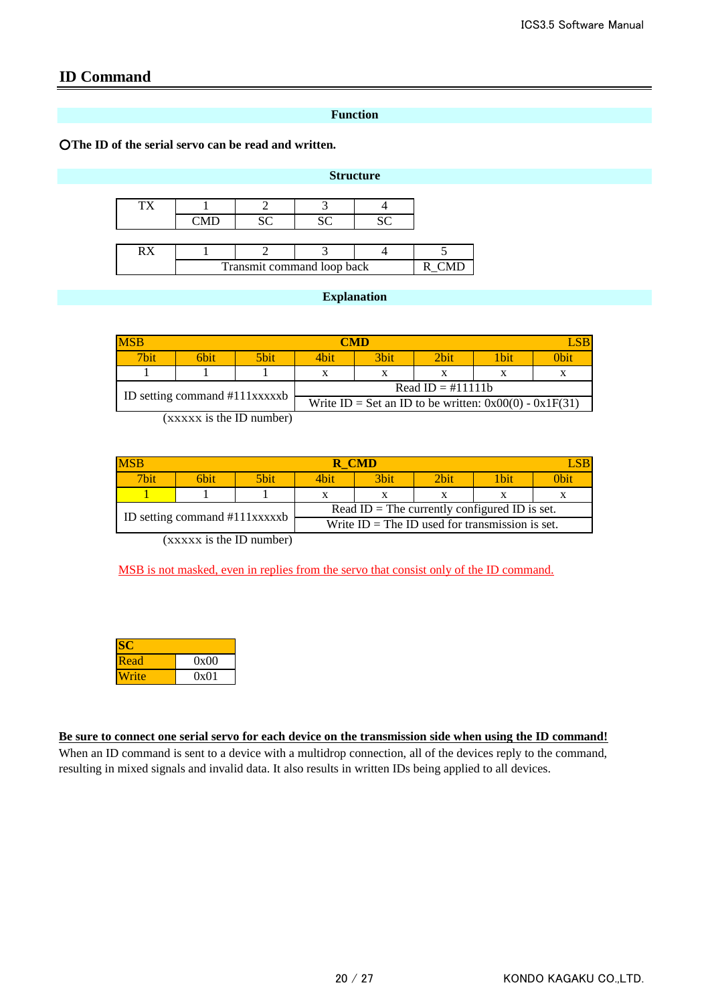# **ID Command**

## **Function**

○**The ID of the serial servo can be read and written.**

### **Structure**

| RX |                            |  |  |  |  |  |
|----|----------------------------|--|--|--|--|--|
|    | Transmit command loop back |  |  |  |  |  |

## **Explanation**

| <b>MSB</b>                    | CMD  |      |                                                          |                  |         |       |      |
|-------------------------------|------|------|----------------------------------------------------------|------------------|---------|-------|------|
| $\nabla$ <sub>bit</sub>       | 6bit | 5bit | 4bit                                                     | 3 <sub>bit</sub> | $2$ hit | 1 bit | 0bit |
|                               |      |      |                                                          |                  |         |       |      |
| ID setting command #111xxxxxb |      |      | Read ID = $\#11111$ h                                    |                  |         |       |      |
|                               |      |      | Write ID = Set an ID to be written: $0x00(0) - 0x1F(31)$ |                  |         |       |      |

(xxxxx is the ID number)

| <b>MSB</b>                    | R CMD |                                               |                                                   |                  |                  |       |      |
|-------------------------------|-------|-----------------------------------------------|---------------------------------------------------|------------------|------------------|-------|------|
| 7bit.                         | 6hit  | 5bit.                                         | 4hit.                                             | 3 <sub>bit</sub> | 2 <sub>bit</sub> | 1 bit | 0bit |
|                               |       |                                               |                                                   |                  |                  |       |      |
|                               |       | Read ID = The currently configured ID is set. |                                                   |                  |                  |       |      |
| ID setting command #111xxxxxb |       |                                               | Write $ID = The ID$ used for transmission is set. |                  |                  |       |      |

(xxxxx is the ID number)

MSB is not masked, even in replies from the servo that consist only of the ID command.

| Read  | 0x00 |
|-------|------|
| Vrite | 0x01 |

**Be sure to connect one serial servo for each device on the transmission side when using the ID command!** When an ID command is sent to a device with a multidrop connection, all of the devices reply to the command, resulting in mixed signals and invalid data. It also results in written IDs being applied to all devices.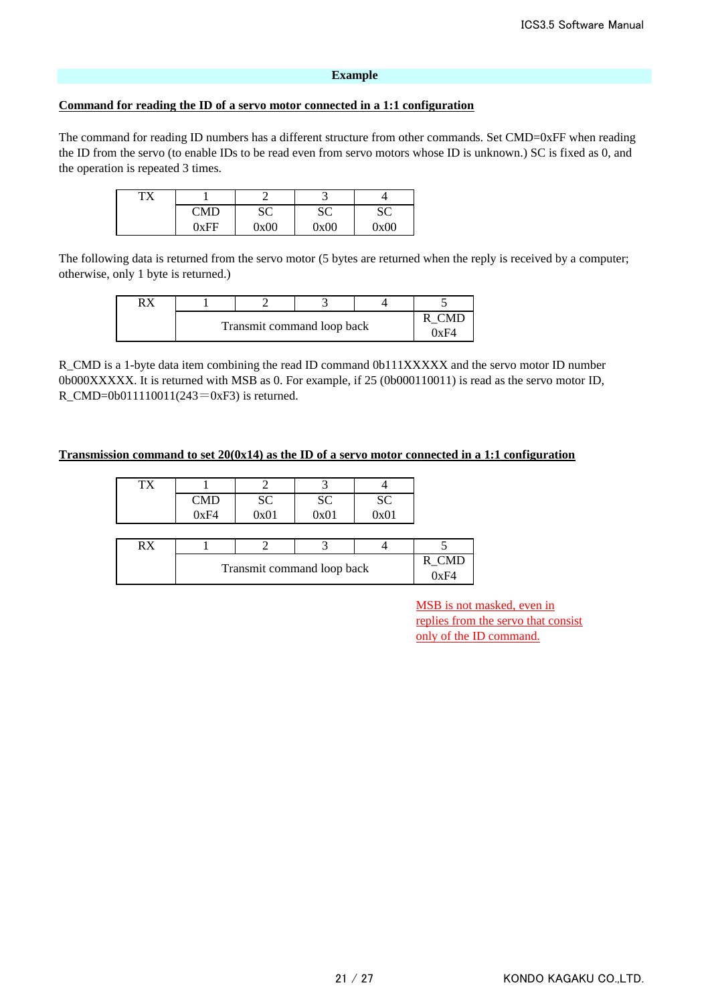#### **Example**

#### **Command for reading the ID of a servo motor connected in a 1:1 configuration**

The command for reading ID numbers has a different structure from other commands. Set CMD=0xFF when reading the ID from the servo (to enable IDs to be read even from servo motors whose ID is unknown.) SC is fixed as 0, and the operation is repeated 3 times.

| тv |                        |              |          |      |
|----|------------------------|--------------|----------|------|
|    | $\gamma_{\mathrm{MD}}$ | UΠ<br>$\sim$ | oΩ<br>ມບ | ືີ   |
|    | 0xEF                   | 0x00         | 0x00     | 0x00 |

The following data is returned from the servo motor (5 bytes are returned when the reply is received by a computer; otherwise, only 1 byte is returned.)

| Transmit command loop back |  |  |  |  |
|----------------------------|--|--|--|--|

R\_CMD is a 1-byte data item combining the read ID command 0b111XXXXX and the servo motor ID number 0b000XXXXX. It is returned with MSB as 0. For example, if 25 (0b000110011) is read as the servo motor ID, R\_CMD=0b011110011(243=0xF3) is returned.

#### **Transmission command to set 20(0x14) as the ID of a servo motor connected in a 1:1 configuration**

| TX |                                               |           |      |            |  |  |  |
|----|-----------------------------------------------|-----------|------|------------|--|--|--|
|    | <b>CMD</b>                                    | <b>SC</b> | SC   |            |  |  |  |
|    | 0xF4                                          | 0x01      | 0x01 | SC<br>0x01 |  |  |  |
|    |                                               |           |      |            |  |  |  |
| RX |                                               |           |      |            |  |  |  |
|    | $R_CMD$<br>0xF4<br>Transmit command loop back |           |      |            |  |  |  |
|    |                                               |           |      |            |  |  |  |

MSB is not masked, even in replies from the servo that consist only of the ID command.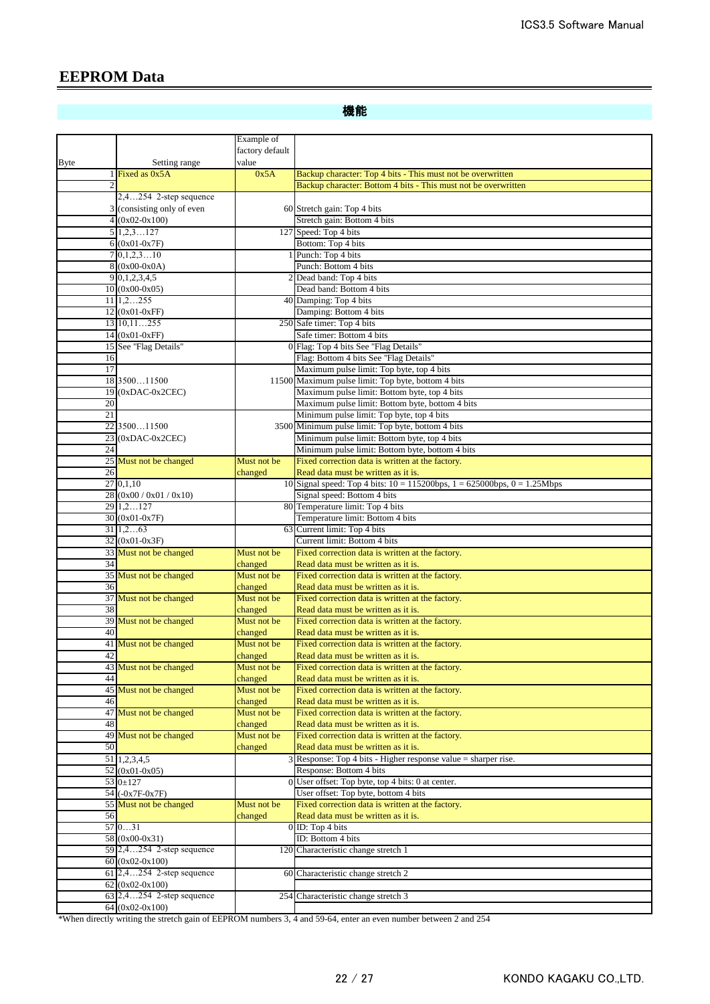# **EEPROM Data**

機能

|             |                                           | Example of             |                                                                                                 |
|-------------|-------------------------------------------|------------------------|-------------------------------------------------------------------------------------------------|
|             |                                           | factory default        |                                                                                                 |
| <b>Byte</b> | Setting range                             | value                  |                                                                                                 |
|             | 1 Fixed as $0x5A$                         | 0x5A                   | Backup character: Top 4 bits - This must not be overwritten                                     |
|             |                                           |                        | Backup character: Bottom 4 bits - This must not be overwritten                                  |
|             | $2,4254$ 2-step sequence                  |                        |                                                                                                 |
|             | 3 (consisting only of even                |                        | 60 Stretch gain: Top 4 bits                                                                     |
|             | $4(0x02-0x100)$                           |                        | Stretch gain: Bottom 4 bits                                                                     |
|             | 5 1,2,3127<br>$6(0x01-0x7F)$              |                        | 127 Speed: Top 4 bits<br>Bottom: Top 4 bits                                                     |
|             | $7\,0,1,2,310$                            |                        | Punch: Top 4 bits                                                                               |
|             | $8(0x00-0x0A)$                            |                        | Punch: Bottom 4 bits                                                                            |
|             | 9 0, 1, 2, 3, 4, 5                        |                        | Dead band: Top 4 bits                                                                           |
|             | $10(0x00-0x05)$                           |                        | Dead band: Bottom 4 bits                                                                        |
|             | $11\,1,2255$                              |                        | 40 Damping: Top 4 bits                                                                          |
|             | $12(0x01-0xFF)$                           |                        | Damping: Bottom 4 bits                                                                          |
|             | 13 10, 11255                              |                        | 250 Safe timer: Top 4 bits                                                                      |
|             | $14(0x01-0xFF)$                           |                        | Safe timer: Bottom 4 bits                                                                       |
|             | 15 See "Flag Details"                     |                        | 0 Flag: Top 4 bits See "Flag Details"                                                           |
| 16          |                                           |                        | Flag: Bottom 4 bits See "Flag Details"                                                          |
| 17          |                                           |                        | Maximum pulse limit: Top byte, top 4 bits                                                       |
|             | 18 350011500                              |                        | 11500 Maximum pulse limit: Top byte, bottom 4 bits                                              |
| 19<br>20    | $(0xDAC-0x2CEC)$                          |                        | Maximum pulse limit: Bottom byte, top 4 bits<br>Maximum pulse limit: Bottom byte, bottom 4 bits |
| 21          |                                           |                        | Minimum pulse limit: Top byte, top 4 bits                                                       |
|             | 22 350011500                              |                        | 3500 Minimum pulse limit: Top byte, bottom 4 bits                                               |
|             | $23$ (0xDAC-0x2CEC)                       |                        | Minimum pulse limit: Bottom byte, top 4 bits                                                    |
| 24          |                                           |                        | Minimum pulse limit: Bottom byte, bottom 4 bits                                                 |
|             | 25 Must not be changed                    | Must not be            | Fixed correction data is written at the factory.                                                |
| 26          |                                           | changed                | Read data must be written as it is.                                                             |
|             | 27 0,1,10                                 |                        | 10 Signal speed: Top 4 bits: $10 = 115200bps$ , $1 = 625000bps$ , $0 = 1.25Mbps$                |
|             | 28 (0x00 / 0x01 / 0x10)                   |                        | Signal speed: Bottom 4 bits                                                                     |
|             | 29 1,2127                                 |                        | 80 Temperature limit: Top 4 bits                                                                |
|             | 30 (0x01-0x7F)                            |                        | Temperature limit: Bottom 4 bits                                                                |
|             | 311,263                                   |                        | 63 Current limit: Top 4 bits<br>Current limit: Bottom 4 bits                                    |
|             | $32(0x01-0x3F)$<br>33 Must not be changed | Must not be            | Fixed correction data is written at the factory.                                                |
| 34          |                                           | changed                | Read data must be written as it is.                                                             |
|             | 35 Must not be changed                    | Must not be            | Fixed correction data is written at the factory.                                                |
| 36          |                                           | changed                | Read data must be written as it is.                                                             |
|             | 37 Must not be changed                    | Must not be            | Fixed correction data is written at the factory.                                                |
| 38          |                                           | changed                | Read data must be written as it is.                                                             |
|             | 39 Must not be changed                    | Must not be            | Fixed correction data is written at the factory.                                                |
| 40          |                                           | changed                | Read data must be written as it is.                                                             |
|             | 41 Must not be changed                    | Must not be            | Fixed correction data is written at the factory.                                                |
| 42          |                                           | changed                | Read data must be written as it is.                                                             |
|             | 43 Must not be changed                    | Must not be            | Fixed correction data is written at the factory.                                                |
| 44          | 45 Must not be changed                    | changed<br>Must not be | Read data must be written as it is.<br>Fixed correction data is written at the factory.         |
| 46          |                                           | changed                | Read data must be written as it is.                                                             |
|             | 47 Must not be changed                    | Must not be            | Fixed correction data is written at the factory.                                                |
| 48          |                                           | changed                | Read data must be written as it is.                                                             |
|             | 49 Must not be changed                    | Must not be            | Fixed correction data is written at the factory.                                                |
| 50          |                                           | changed                | Read data must be written as it is.                                                             |
|             | 51 1,2,3,4,5                              |                        | 3 Response: Top 4 bits - Higher response value = sharper rise.                                  |
|             | $52(0x01-0x05)$                           |                        | Response: Bottom 4 bits                                                                         |
|             | 53 0±127                                  |                        | 0 User offset: Top byte, top 4 bits: 0 at center.                                               |
|             | 54 (-0x7F-0x7F)                           |                        | User offset: Top byte, bottom 4 bits                                                            |
|             | 55 Must not be changed                    | Must not be            | Fixed correction data is written at the factory.                                                |
| 56          | 57031                                     | changed                | Read data must be written as it is.                                                             |
|             | 58 (0x00-0x31)                            |                        | 0 ID: Top 4 bits<br>ID: Bottom 4 bits                                                           |
|             | 59 2,4254 2-step sequence                 | 120                    | Characteristic change stretch 1                                                                 |
|             | $60(0x02-0x100)$                          |                        |                                                                                                 |
|             | 61 2,4254 2-step sequence                 |                        | 60 Characteristic change stretch 2                                                              |
|             | $62 (0x02 - 0x100)$                       |                        |                                                                                                 |
|             | 63 2,4254 2-step sequence                 |                        | 254 Characteristic change stretch 3                                                             |
|             | $64 (0x02-0x100)$                         |                        |                                                                                                 |

\*When directly writing the stretch gain of EEPROM numbers 3, 4 and 59-64, enter an even number between 2 and 254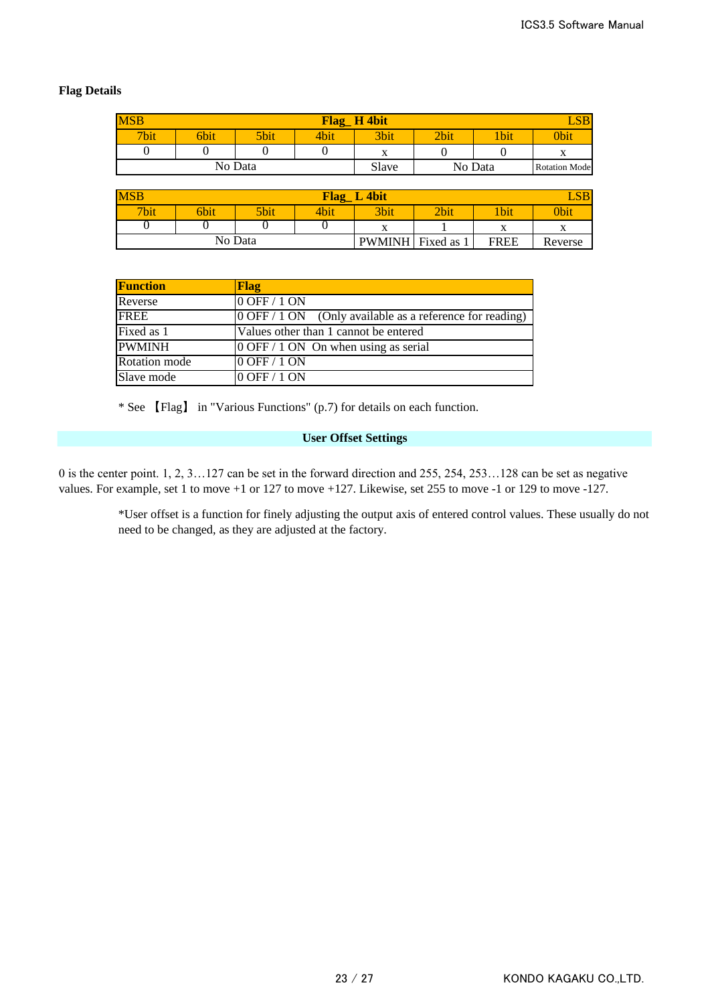## **Flag Details**

| <b>MSB</b><br>Flag H 4bit |      |         |      |           |      |            |                      |  |
|---------------------------|------|---------|------|-----------|------|------------|----------------------|--|
| 7bit                      | 6bit | 5bit    | 4bit | 3bit      | 2bit | <b>bit</b> | <b>Obit</b>          |  |
|                           |      |         |      | $\Lambda$ |      |            | $\Lambda$            |  |
|                           |      | No Data |      | Slave     |      | No Data    | <b>Rotation Mode</b> |  |

| <b>MSB</b><br>$\mathbf{LSB}$<br>L 4bit<br><b>Flag</b> |      |         |      |                   |      |             |         |  |  |  |
|-------------------------------------------------------|------|---------|------|-------------------|------|-------------|---------|--|--|--|
| 7bit                                                  | 6bit | 5bit    | 2bit | <b>Ubit</b>       | 0bit |             |         |  |  |  |
|                                                       | v    |         |      |                   |      |             |         |  |  |  |
|                                                       |      | No Data |      | PWMINH Fixed as 1 |      | <b>FREE</b> | Reverse |  |  |  |

| <b>Function</b> | Flag                                                                                 |
|-----------------|--------------------------------------------------------------------------------------|
| Reverse         | 0 OFF / 1 ON                                                                         |
| <b>FREE</b>     | $\overline{O}$ OFF / 1 ON $\overline{O}$ (Only available as a reference for reading) |
| Fixed as 1      | Values other than 1 cannot be entered                                                |
| <b>PWMINH</b>   | $0$ OFF / 1 ON On when using as serial                                               |
| Rotation mode   | 0 OFF / 1 ON                                                                         |
| Slave mode      | 0 OFF / 1 ON                                                                         |

\* See 【Flag】 in "Various Functions" (p.7) for details on each function.

## **User Offset Settings**

0 is the center point. 1, 2, 3…127 can be set in the forward direction and 255, 254, 253…128 can be set as negative values. For example, set 1 to move +1 or 127 to move +127. Likewise, set 255 to move -1 or 129 to move -127.

> \*User offset is a function for finely adjusting the output axis of entered control values. These usually do not need to be changed, as they are adjusted at the factory.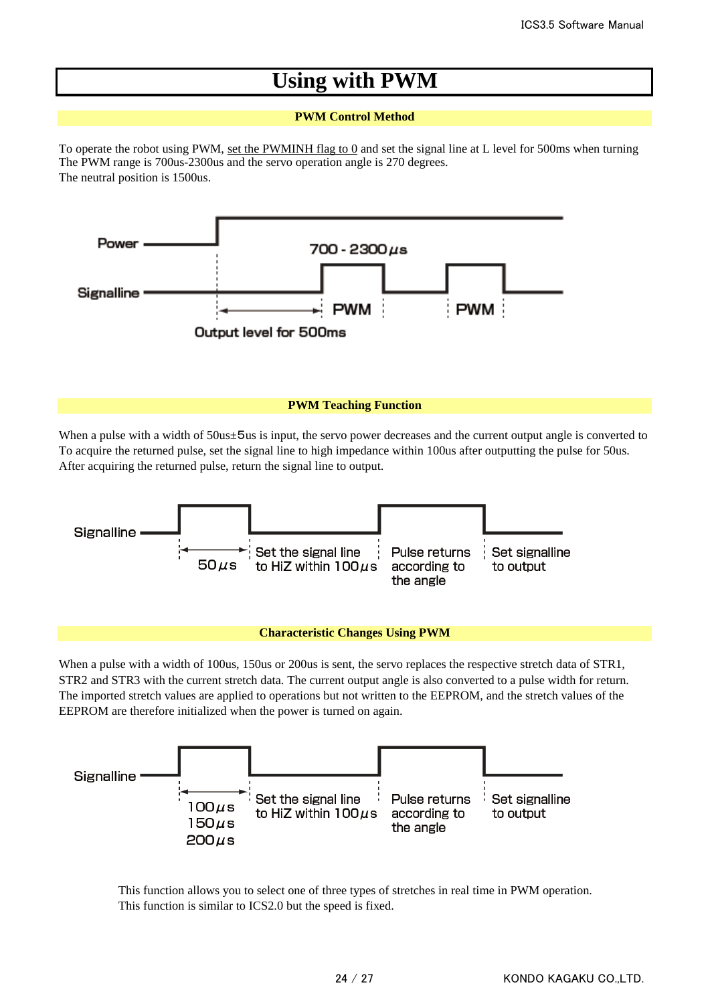# **Using with PWM**

## **PWM Control Method**

The PWM range is 700us-2300us and the servo operation angle is 270 degrees. The neutral position is 1500us. To operate the robot using PWM, set the PWMINH flag to 0 and set the signal line at L level for 500ms when turning



#### **PWM Teaching Function**

To acquire the returned pulse, set the signal line to high impedance within 100us after outputting the pulse for 50us. After acquiring the returned pulse, return the signal line to output. When a pulse with a width of  $50u$ s is input, the servo power decreases and the current output angle is converted to



#### **Characteristic Changes Using PWM**

When a pulse with a width of 100us, 150us or 200us is sent, the servo replaces the respective stretch data of STR1, STR2 and STR3 with the current stretch data. The current output angle is also converted to a pulse width for return. The imported stretch values are applied to operations but not written to the EEPROM, and the stretch values of the EEPROM are therefore initialized when the power is turned on again.



This function allows you to select one of three types of stretches in real time in PWM operation. This function is similar to ICS2.0 but the speed is fixed.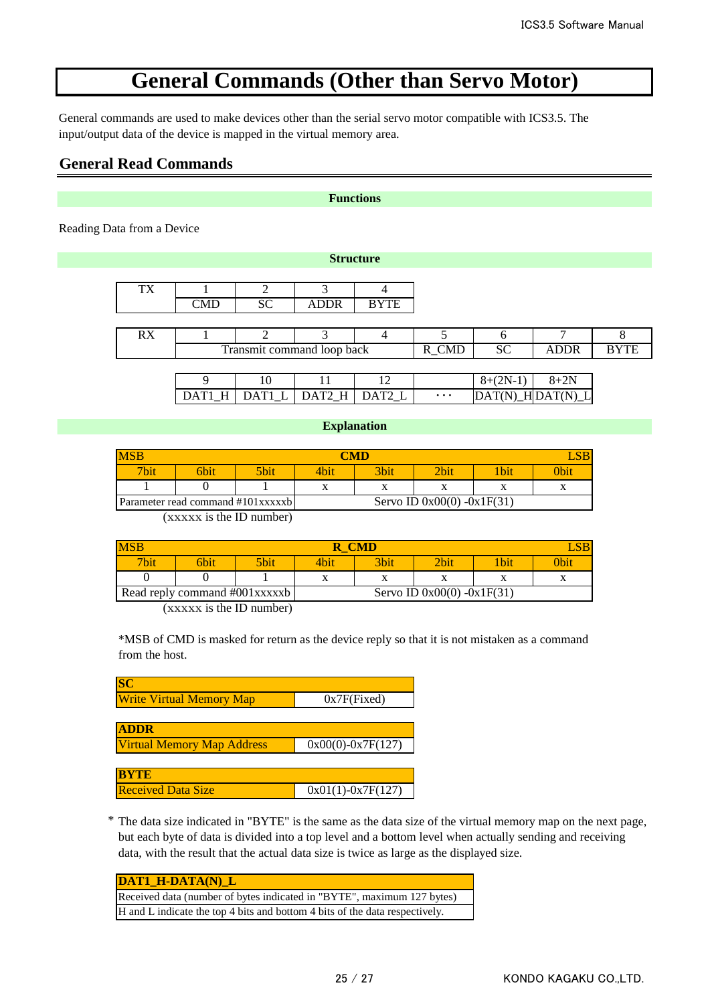# **General Commands (Other than Servo Motor)**

General commands are used to make devices other than the serial servo motor compatible with ICS3.5. The input/output data of the device is mapped in the virtual memory area.

## **General Read Commands**

#### **Functions**

**Structure**

Reading Data from a Device

| TX |                                  |           |                            |     |       |           |             |             |
|----|----------------------------------|-----------|----------------------------|-----|-------|-----------|-------------|-------------|
|    | $\mathbb{C}\mathbf{M}\mathbf{D}$ | <b>SC</b> | <b>ADDR</b>                | YTE |       |           |             |             |
|    |                                  |           |                            |     |       |           |             |             |
| RX |                                  |           |                            |     |       |           |             |             |
|    |                                  |           | Transmit command loop back |     | R_CMD | <b>SC</b> | <b>ADDR</b> | <b>BYTE</b> |
|    |                                  |           |                            |     |       |           |             |             |
|    |                                  |           |                            |     |       |           |             |             |

|                             |  |          | $2N-1$      |                                |
|-----------------------------|--|----------|-------------|--------------------------------|
| DATI H DATI L DAT? H DAT? L |  | $\cdots$ | <b>IDAT</b> | $T(N)$ HIDAT(N) $\overline{N}$ |

## **Explanation**

| <b>MSB</b>       |      |                                   |      | $\Gamma$ M $\Gamma$ |                              |             |      |
|------------------|------|-----------------------------------|------|---------------------|------------------------------|-------------|------|
| 7 <sub>bit</sub> | 6bit | 5bit                              | 4b1t | 3bit                | <b>Phit</b>                  | <b>Thit</b> | 0bit |
|                  |      |                                   |      |                     |                              |             |      |
|                  |      | Parameter read command #101xxxxxb |      |                     | Servo ID $0x00(0) -0x1F(31)$ |             |      |

(xxxxx is the ID number)

| <b>MSB</b> |                               |      |              | <b>CMD</b>                   |  |     |      |  |
|------------|-------------------------------|------|--------------|------------------------------|--|-----|------|--|
| 7bit       | 6bit                          | 5bit | 3bit<br>4bit |                              |  | bit | 0bii |  |
|            |                               |      |              | л                            |  |     |      |  |
|            | Read reply command #001xxxxxb |      |              | Servo ID $0x00(0) -0x1F(31)$ |  |     |      |  |

(xxxxx is the ID number)

\*MSB of CMD is masked for return as the device reply so that it is not mistaken as a command from the host.

| <b>SC</b>                         |                       |
|-----------------------------------|-----------------------|
| <b>Write Virtual Memory Map</b>   | $0x7F$ (Fixed)        |
|                                   |                       |
| <b>ADDR</b>                       |                       |
| <b>Virtual Memory Map Address</b> | $0x00(0) - 0x7F(127)$ |
|                                   |                       |
| <b>BYTE</b>                       |                       |
| <b>Received Data Size</b>         | $0x01(1)-0x7F(127)$   |

\* The data size indicated in "BYTE" is the same as the data size of the virtual memory map on the next page, but each byte of data is divided into a top level and a bottom level when actually sending and receiving data, with the result that the actual data size is twice as large as the displayed size.

| <b>DAT1 H-DATA(N) L</b>                                                     |
|-----------------------------------------------------------------------------|
| Received data (number of bytes indicated in "BYTE", maximum 127 bytes)      |
| H and L indicate the top 4 bits and bottom 4 bits of the data respectively. |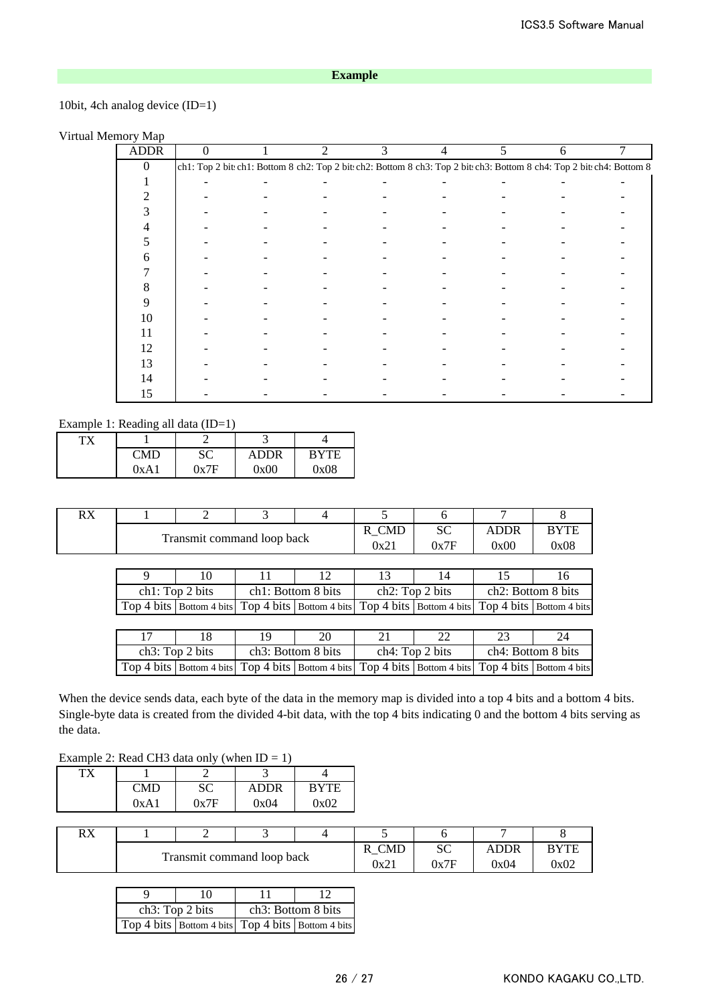## **Example**

## 10bit, 4ch analog device (ID=1)

## Virtual Memory Map

| <b>ADDR</b> | 0 |                                                                                                                         | $\mathfrak{D}$ | 3 | 4 | 5 | 6 |  |
|-------------|---|-------------------------------------------------------------------------------------------------------------------------|----------------|---|---|---|---|--|
| $\Omega$    |   | ch1: Top 2 bit: ch1: Bottom 8 ch2: Top 2 bit: ch2: Bottom 8 ch3: Top 2 bit: ch3: Bottom 8 ch4: Top 2 bit: ch4: Bottom 8 |                |   |   |   |   |  |
|             |   |                                                                                                                         |                |   |   |   |   |  |
|             |   |                                                                                                                         |                |   |   |   |   |  |
|             |   |                                                                                                                         |                |   |   |   |   |  |
|             |   |                                                                                                                         |                |   |   |   |   |  |
|             |   |                                                                                                                         |                |   |   |   |   |  |
| 6           |   |                                                                                                                         |                |   |   |   |   |  |
|             |   |                                                                                                                         |                |   |   |   |   |  |
| 8           |   |                                                                                                                         |                |   |   |   |   |  |
| 9           |   |                                                                                                                         |                |   |   |   |   |  |
| 10          |   |                                                                                                                         |                |   |   |   |   |  |
| 11          |   |                                                                                                                         |                |   |   |   |   |  |
| 12          |   |                                                                                                                         |                |   |   |   |   |  |
| 13          |   |                                                                                                                         |                |   |   |   |   |  |
| 14          |   |                                                                                                                         |                |   |   |   |   |  |
| 15          |   |                                                                                                                         |                |   |   |   |   |  |

Example 1: Reading all data (ID=1)

| mxz |      |              | -                        |             |
|-----|------|--------------|--------------------------|-------------|
|     | ∩MD  | UΠ<br>ບບ     | $\triangle D\triangle R$ | <b>BYTE</b> |
|     | 0xA1 | $0\sqrt{7}E$ | 0x00                     | 0x08        |

| RX |                 | 2                                                                                                                 | 3                               |    | 5               | 6                        |                    | 8                        |
|----|-----------------|-------------------------------------------------------------------------------------------------------------------|---------------------------------|----|-----------------|--------------------------|--------------------|--------------------------|
|    |                 |                                                                                                                   |                                 |    | R_CMD           | SC.                      | <b>ADDR</b>        | <b>BYTE</b>              |
|    |                 | Transmit command loop back                                                                                        |                                 |    | 0x21            | 0x7F                     | 0x00               | 0x08                     |
|    |                 |                                                                                                                   |                                 |    |                 |                          |                    |                          |
|    | Q               | 10                                                                                                                |                                 | 12 | 13              | 14                       | 15                 | 16                       |
|    |                 | ch1: Top 2 bits                                                                                                   | ch1: Bottom 8 bits              |    | ch2: Top 2 bits |                          | ch2: Bottom 8 bits |                          |
|    |                 | Top 4 bits   Bottom 4 bits   Top 4 bits   Bottom 4 bits   Top 4 bits   Bottom 4 bits   Top 4 bits   Bottom 4 bits |                                 |    |                 |                          |                    |                          |
|    |                 |                                                                                                                   |                                 |    |                 |                          |                    |                          |
|    | 17              | 18                                                                                                                | 19                              | 20 | 21              | 22                       | 23                 | 24                       |
|    | ch3: Top 2 bits |                                                                                                                   | ch <sub>3</sub> : Bottom 8 bits |    |                 | ch4: Top 2 bits          |                    | ch4: Bottom 8 bits       |
|    |                 | Top 4 bits   Bottom 4 bits   Top 4 bits   Bottom 4 bits                                                           |                                 |    |                 | Top 4 bits Bottom 4 bits |                    | Top 4 bits Bottom 4 bits |

When the device sends data, each byte of the data in the memory map is divided into a top 4 bits and a bottom 4 bits. Single-byte data is created from the divided 4-bit data, with the top 4 bits indicating 0 and the bottom 4 bits serving as the data.

## Example 2: Read CH3 data only (when  $ID = 1$ )

| тv |        |      |             |             |
|----|--------|------|-------------|-------------|
|    | CMD    |      | <b>ADDR</b> | <b>BYTE</b> |
|    | 0x A 1 | 0v7F | 0x04        | በ∗በን        |
|    |        |      |             |             |

| $\mathbf{D} \mathbf{V}$<br>rу |                            |  |  |  |      |            |      |             |
|-------------------------------|----------------------------|--|--|--|------|------------|------|-------------|
|                               |                            |  |  |  | CMD  | oΩ<br>بالا | ADDR | <b>DVTF</b> |
|                               | Transmit command loop back |  |  |  | 0x21 | 0x7F       | 0x04 | 0x02        |

| 10              |                                 |                                                   |  |  |
|-----------------|---------------------------------|---------------------------------------------------|--|--|
| ch3: Top 2 bits | ch <sub>3</sub> : Bottom 8 bits |                                                   |  |  |
|                 |                                 | Top 4 bits Bottom 4 bits Top 4 bits Bottom 4 bits |  |  |